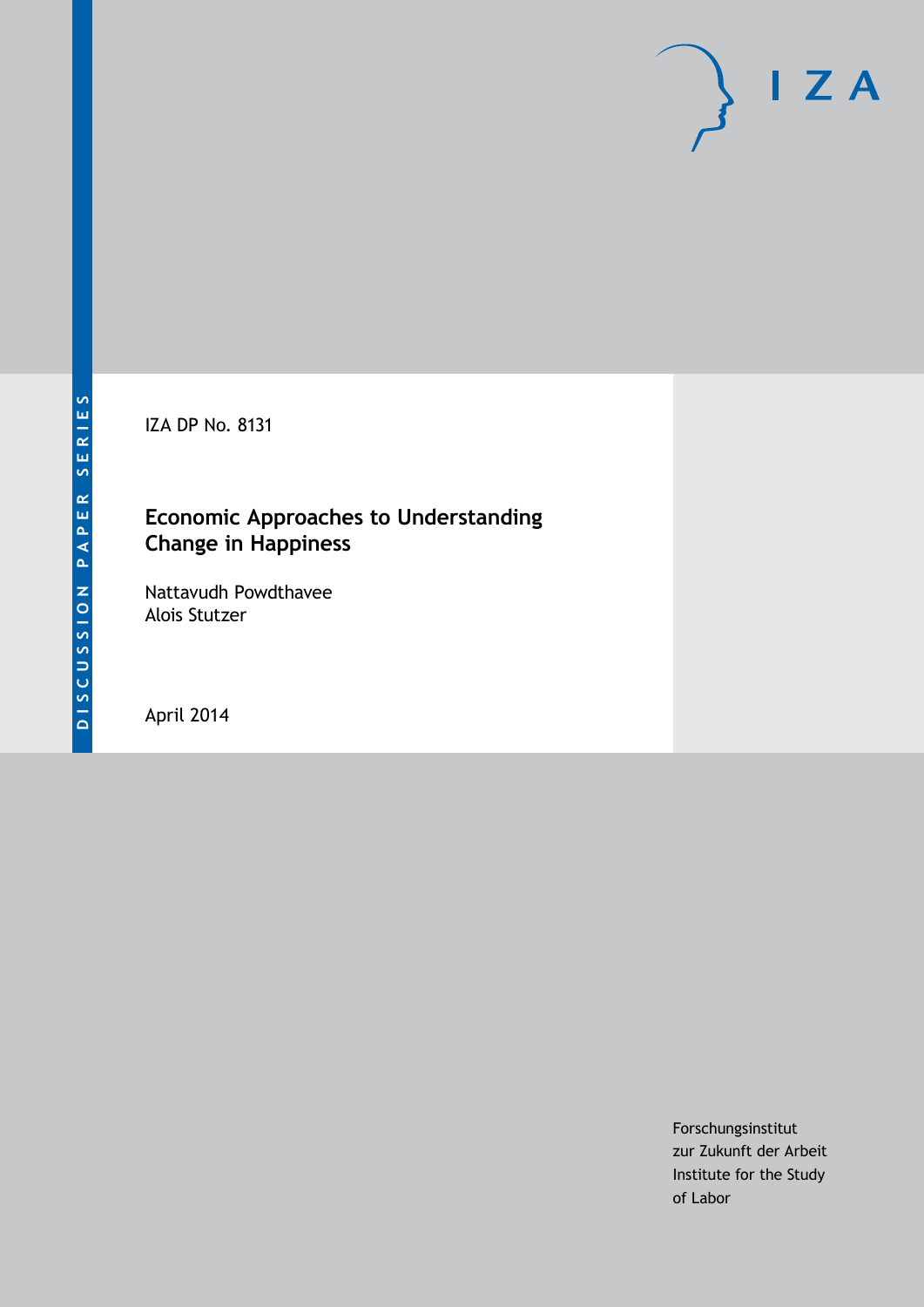IZA DP No. 8131

## **Economic Approaches to Understanding Change in Happiness**

Nattavudh Powdthavee Alois Stutzer

April 2014

Forschungsinstitut zur Zukunft der Arbeit Institute for the Study of Labor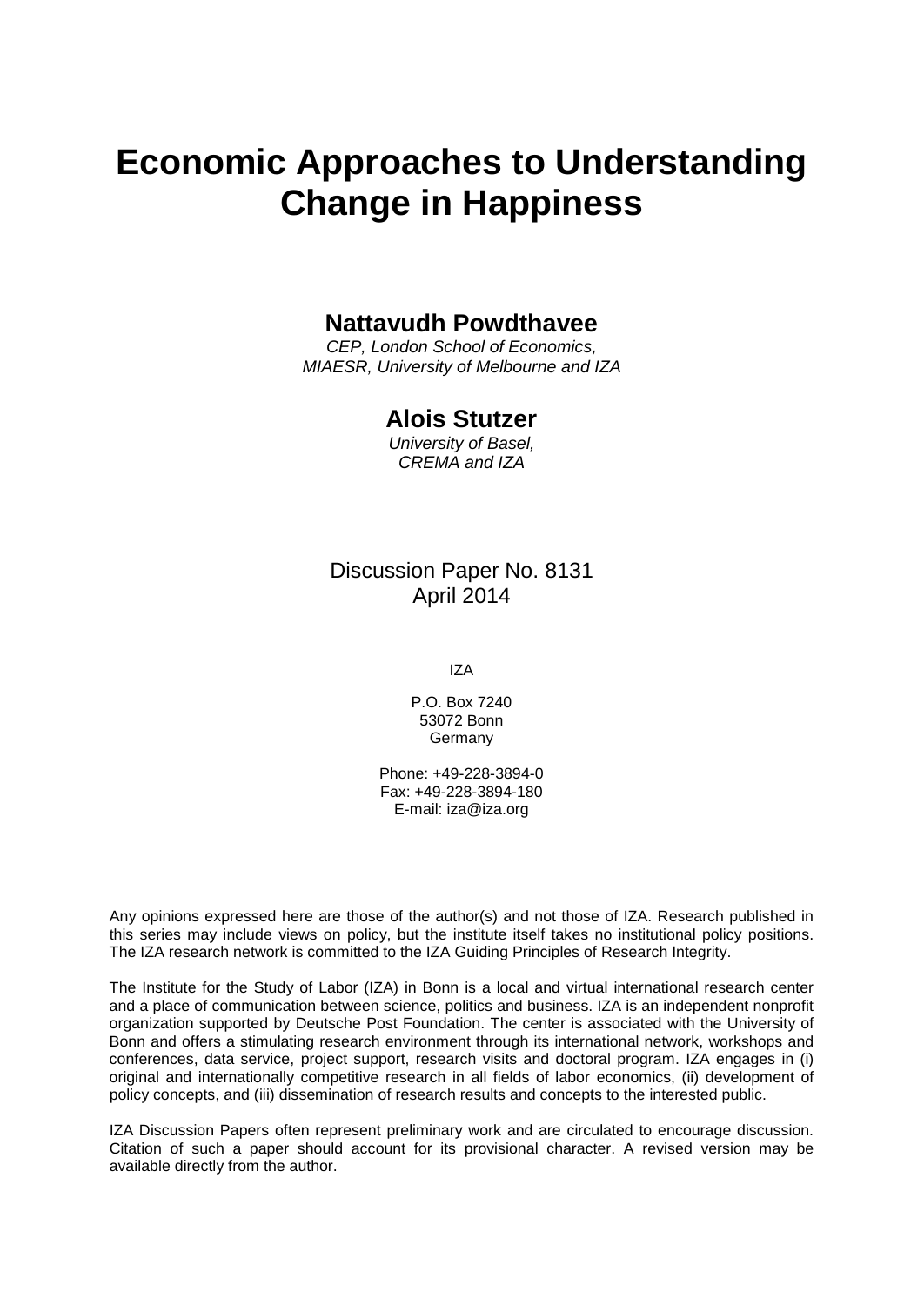# **Economic Approaches to Understanding Change in Happiness**

### **Nattavudh Powdthavee**

*CEP, London School of Economics, MIAESR, University of Melbourne and IZA*

### **Alois Stutzer**

*University of Basel, CREMA and IZA*

### Discussion Paper No. 8131 April 2014

IZA

P.O. Box 7240 53072 Bonn Germany

Phone: +49-228-3894-0 Fax: +49-228-3894-180 E-mail: [iza@iza.org](mailto:iza@iza.org)

Any opinions expressed here are those of the author(s) and not those of IZA. Research published in this series may include views on policy, but the institute itself takes no institutional policy positions. The IZA research network is committed to the IZA Guiding Principles of Research Integrity.

The Institute for the Study of Labor (IZA) in Bonn is a local and virtual international research center and a place of communication between science, politics and business. IZA is an independent nonprofit organization supported by Deutsche Post Foundation. The center is associated with the University of Bonn and offers a stimulating research environment through its international network, workshops and conferences, data service, project support, research visits and doctoral program. IZA engages in (i) original and internationally competitive research in all fields of labor economics, (ii) development of policy concepts, and (iii) dissemination of research results and concepts to the interested public.

<span id="page-1-0"></span>IZA Discussion Papers often represent preliminary work and are circulated to encourage discussion. Citation of such a paper should account for its provisional character. A revised version may be available directly from the author.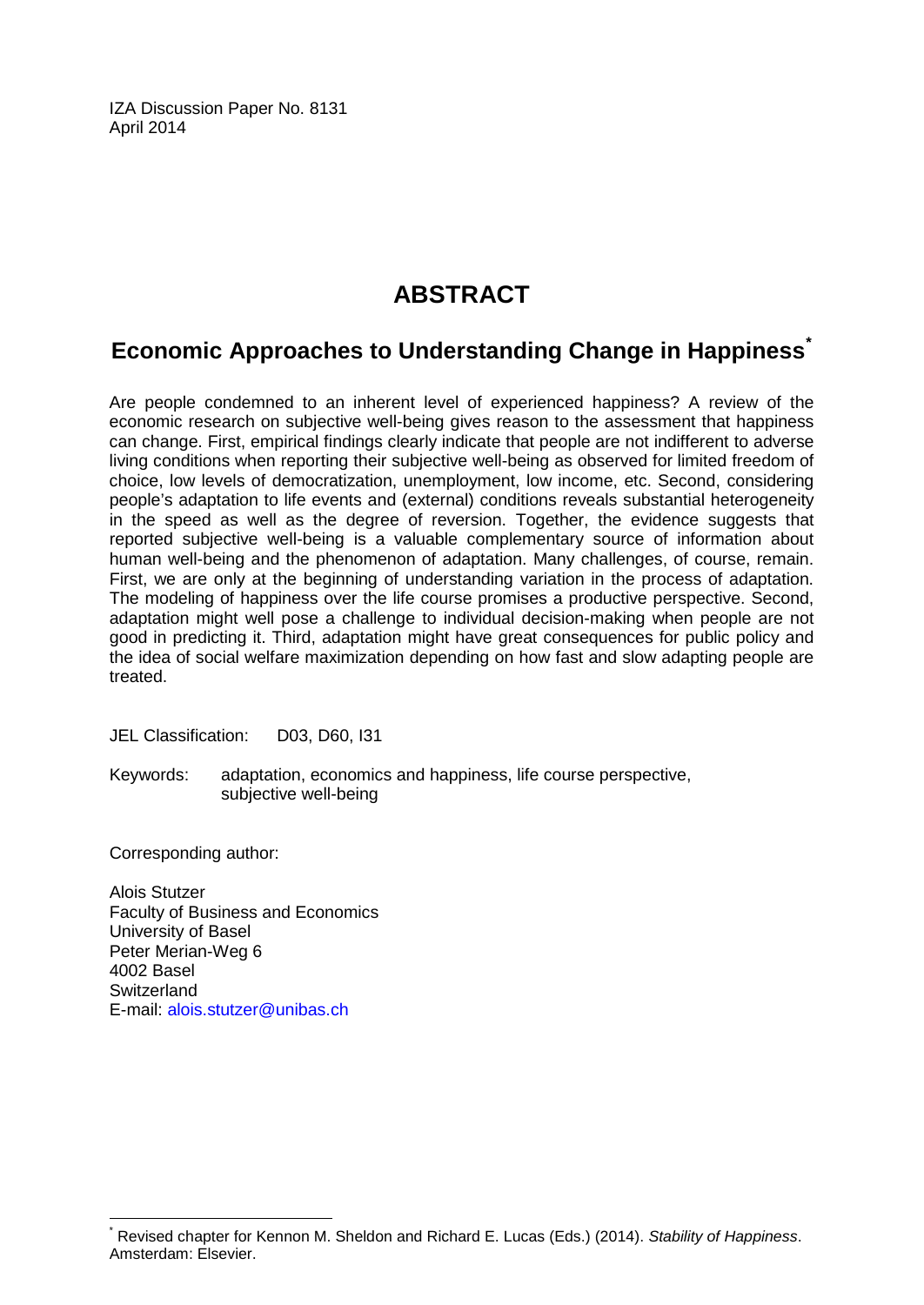IZA Discussion Paper No. 8131 April 2014

## **ABSTRACT**

## **Economic Approaches to Understanding Change in Happiness[\\*](#page-1-0)**

Are people condemned to an inherent level of experienced happiness? A review of the economic research on subjective well-being gives reason to the assessment that happiness can change. First, empirical findings clearly indicate that people are not indifferent to adverse living conditions when reporting their subjective well-being as observed for limited freedom of choice, low levels of democratization, unemployment, low income, etc. Second, considering people's adaptation to life events and (external) conditions reveals substantial heterogeneity in the speed as well as the degree of reversion. Together, the evidence suggests that reported subjective well-being is a valuable complementary source of information about human well-being and the phenomenon of adaptation. Many challenges, of course, remain. First, we are only at the beginning of understanding variation in the process of adaptation. The modeling of happiness over the life course promises a productive perspective. Second, adaptation might well pose a challenge to individual decision-making when people are not good in predicting it. Third, adaptation might have great consequences for public policy and the idea of social welfare maximization depending on how fast and slow adapting people are treated.

JEL Classification: D03, D60, I31

Keywords: adaptation, economics and happiness, life course perspective, subjective well-being

Corresponding author:

Alois Stutzer Faculty of Business and Economics University of Basel Peter Merian-Weg 6 4002 Basel **Switzerland** E-mail: [alois.stutzer@unibas.ch](mailto:alois.stutzer@unibas.ch)

\* Revised chapter for Kennon M. Sheldon and Richard E. Lucas (Eds.) (2014). *Stability of Happiness*. Amsterdam: Elsevier.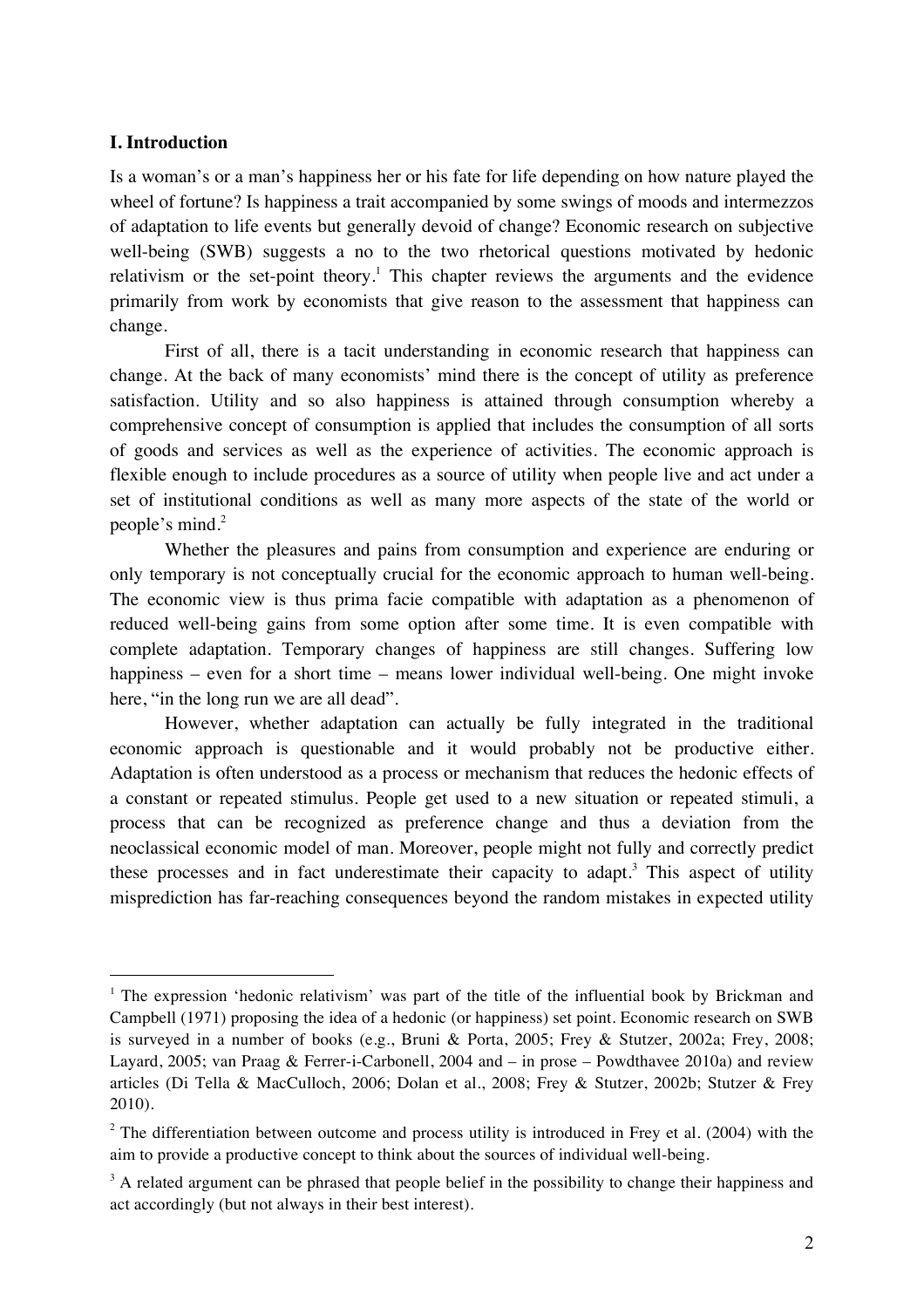#### **I. Introduction**

 $\overline{a}$ 

Is a woman's or a man's happiness her or his fate for life depending on how nature played the wheel of fortune? Is happiness a trait accompanied by some swings of moods and intermezzos of adaptation to life events but generally devoid of change? Economic research on subjective well-being (SWB) suggests a no to the two rhetorical questions motivated by hedonic relativism or the set-point theory.<sup>1</sup> This chapter reviews the arguments and the evidence primarily from work by economists that give reason to the assessment that happiness can change.

First of all, there is a tacit understanding in economic research that happiness can change. At the back of many economists' mind there is the concept of utility as preference satisfaction. Utility and so also happiness is attained through consumption whereby a comprehensive concept of consumption is applied that includes the consumption of all sorts of goods and services as well as the experience of activities. The economic approach is flexible enough to include procedures as a source of utility when people live and act under a set of institutional conditions as well as many more aspects of the state of the world or people's mind.<sup>2</sup>

Whether the pleasures and pains from consumption and experience are enduring or only temporary is not conceptually crucial for the economic approach to human well-being. The economic view is thus prima facie compatible with adaptation as a phenomenon of reduced well-being gains from some option after some time. It is even compatible with complete adaptation. Temporary changes of happiness are still changes. Suffering low happiness – even for a short time – means lower individual well-being. One might invoke here, "in the long run we are all dead".

However, whether adaptation can actually be fully integrated in the traditional economic approach is questionable and it would probably not be productive either. Adaptation is often understood as a process or mechanism that reduces the hedonic effects of a constant or repeated stimulus. People get used to a new situation or repeated stimuli, a process that can be recognized as preference change and thus a deviation from the neoclassical economic model of man. Moreover, people might not fully and correctly predict these processes and in fact underestimate their capacity to adapt.<sup>3</sup> This aspect of utility misprediction has far-reaching consequences beyond the random mistakes in expected utility

 $1$  The expression 'hedonic relativism' was part of the title of the influential book by Brickman and Campbell (1971) proposing the idea of a hedonic (or happiness) set point. Economic research on SWB is surveyed in a number of books (e.g., Bruni & Porta, 2005; Frey & Stutzer, 2002a; Frey, 2008; Layard, 2005; van Praag & Ferrer-i-Carbonell, 2004 and – in prose – Powdthavee 2010a) and review articles (Di Tella & MacCulloch, 2006; Dolan et al., 2008; Frey & Stutzer, 2002b; Stutzer & Frey 2010).

 $2$  The differentiation between outcome and process utility is introduced in Frey et al. (2004) with the aim to provide a productive concept to think about the sources of individual well-being.

 $3$  A related argument can be phrased that people belief in the possibility to change their happiness and act accordingly (but not always in their best interest).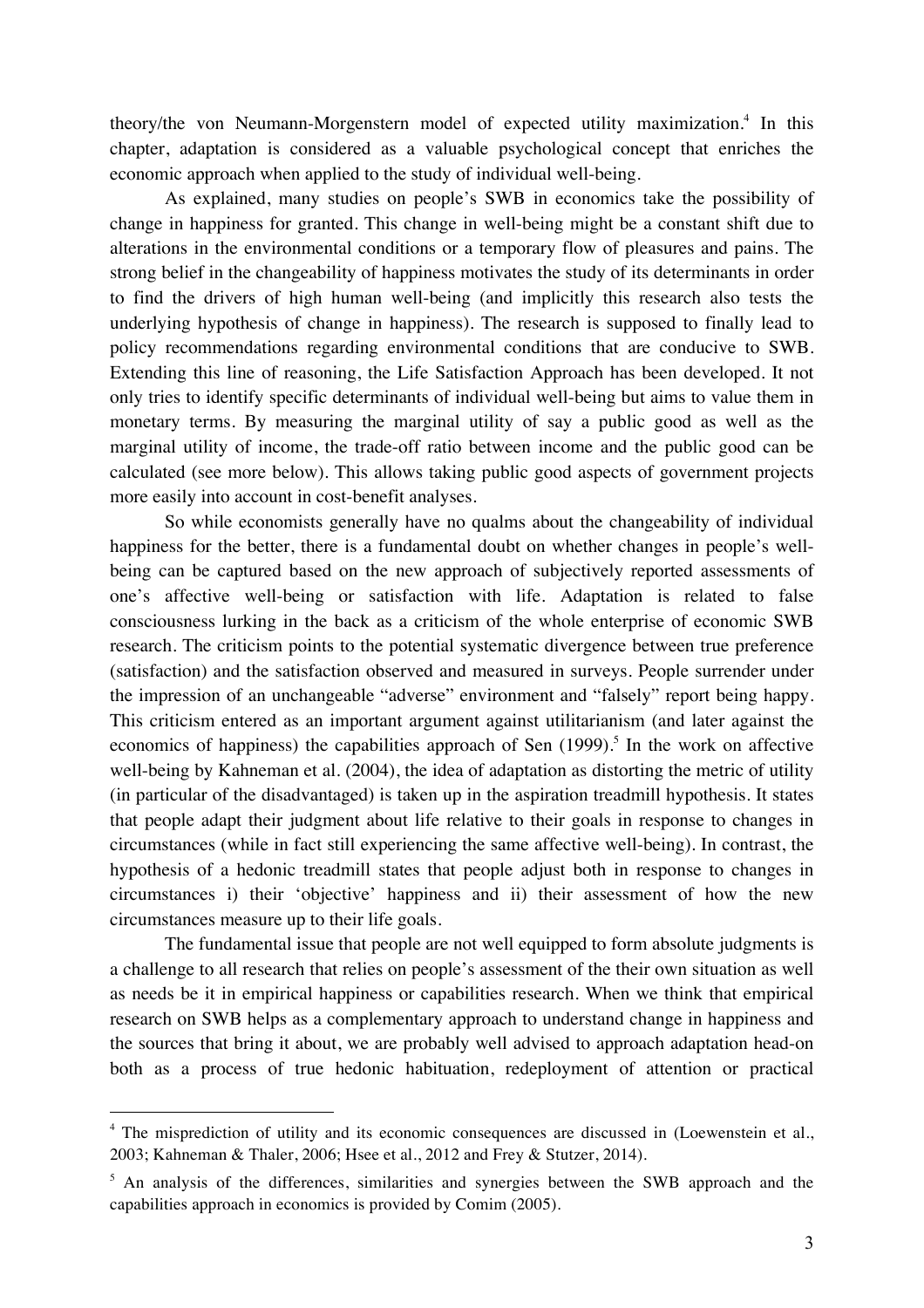theory/the von Neumann-Morgenstern model of expected utility maximization.<sup>4</sup> In this chapter, adaptation is considered as a valuable psychological concept that enriches the economic approach when applied to the study of individual well-being.

As explained, many studies on people's SWB in economics take the possibility of change in happiness for granted. This change in well-being might be a constant shift due to alterations in the environmental conditions or a temporary flow of pleasures and pains. The strong belief in the changeability of happiness motivates the study of its determinants in order to find the drivers of high human well-being (and implicitly this research also tests the underlying hypothesis of change in happiness). The research is supposed to finally lead to policy recommendations regarding environmental conditions that are conducive to SWB. Extending this line of reasoning, the Life Satisfaction Approach has been developed. It not only tries to identify specific determinants of individual well-being but aims to value them in monetary terms. By measuring the marginal utility of say a public good as well as the marginal utility of income, the trade-off ratio between income and the public good can be calculated (see more below). This allows taking public good aspects of government projects more easily into account in cost-benefit analyses.

So while economists generally have no qualms about the changeability of individual happiness for the better, there is a fundamental doubt on whether changes in people's wellbeing can be captured based on the new approach of subjectively reported assessments of one's affective well-being or satisfaction with life. Adaptation is related to false consciousness lurking in the back as a criticism of the whole enterprise of economic SWB research. The criticism points to the potential systematic divergence between true preference (satisfaction) and the satisfaction observed and measured in surveys. People surrender under the impression of an unchangeable "adverse" environment and "falsely" report being happy. This criticism entered as an important argument against utilitarianism (and later against the economics of happiness) the capabilities approach of Sen  $(1999)$ .<sup>5</sup> In the work on affective well-being by Kahneman et al. (2004), the idea of adaptation as distorting the metric of utility (in particular of the disadvantaged) is taken up in the aspiration treadmill hypothesis. It states that people adapt their judgment about life relative to their goals in response to changes in circumstances (while in fact still experiencing the same affective well-being). In contrast, the hypothesis of a hedonic treadmill states that people adjust both in response to changes in circumstances i) their 'objective' happiness and ii) their assessment of how the new circumstances measure up to their life goals.

The fundamental issue that people are not well equipped to form absolute judgments is a challenge to all research that relies on people's assessment of the their own situation as well as needs be it in empirical happiness or capabilities research. When we think that empirical research on SWB helps as a complementary approach to understand change in happiness and the sources that bring it about, we are probably well advised to approach adaptation head-on both as a process of true hedonic habituation, redeployment of attention or practical

 $\overline{a}$ 

<sup>&</sup>lt;sup>4</sup> The misprediction of utility and its economic consequences are discussed in (Loewenstein et al., 2003; Kahneman & Thaler, 2006; Hsee et al., 2012 and Frey & Stutzer, 2014).

 $<sup>5</sup>$  An analysis of the differences, similarities and synergies between the SWB approach and the</sup> capabilities approach in economics is provided by Comim (2005).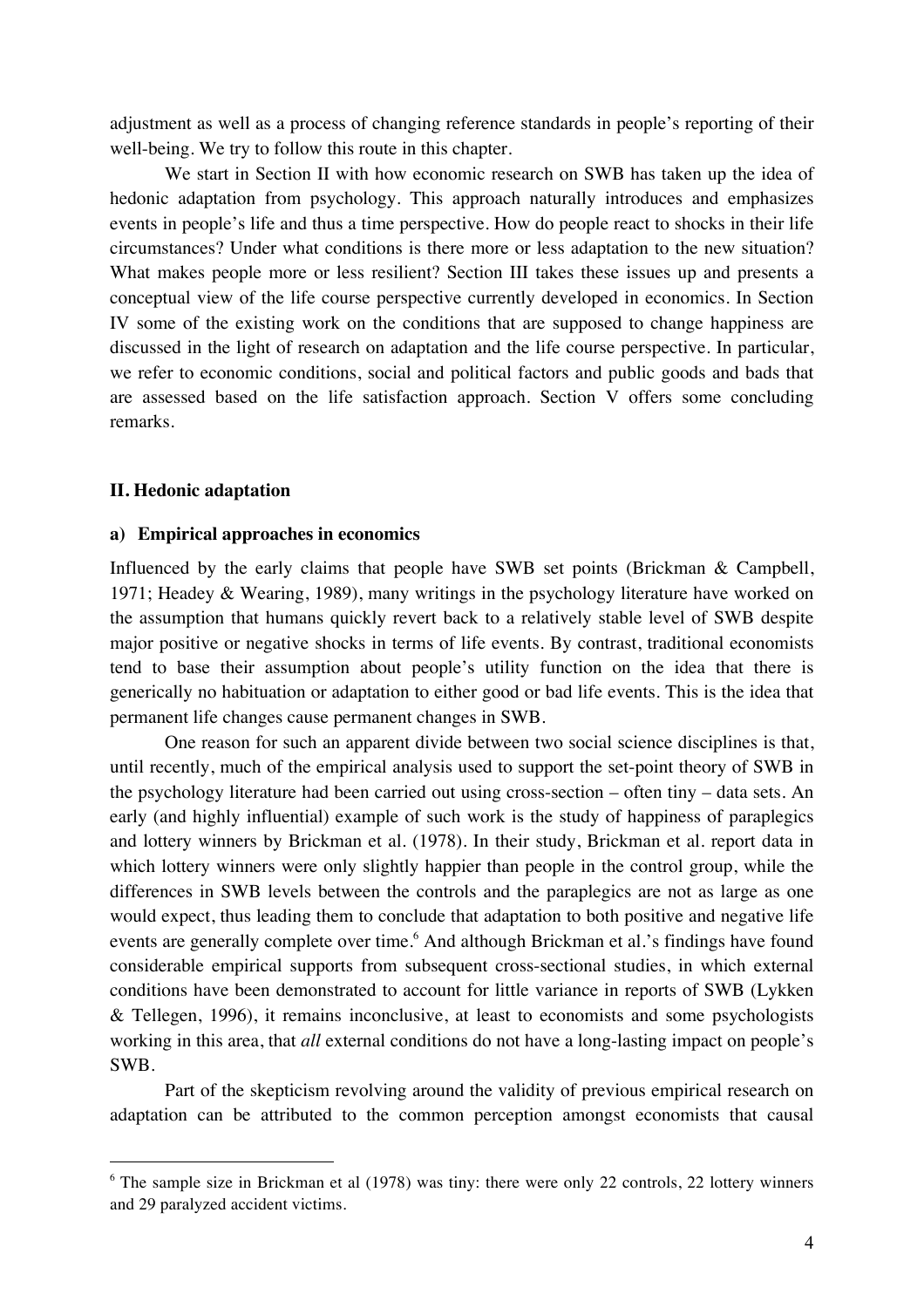adjustment as well as a process of changing reference standards in people's reporting of their well-being. We try to follow this route in this chapter.

We start in Section II with how economic research on SWB has taken up the idea of hedonic adaptation from psychology. This approach naturally introduces and emphasizes events in people's life and thus a time perspective. How do people react to shocks in their life circumstances? Under what conditions is there more or less adaptation to the new situation? What makes people more or less resilient? Section III takes these issues up and presents a conceptual view of the life course perspective currently developed in economics. In Section IV some of the existing work on the conditions that are supposed to change happiness are discussed in the light of research on adaptation and the life course perspective. In particular, we refer to economic conditions, social and political factors and public goods and bads that are assessed based on the life satisfaction approach. Section V offers some concluding remarks.

#### **II. Hedonic adaptation**

 $\overline{a}$ 

#### **a) Empirical approaches in economics**

Influenced by the early claims that people have SWB set points (Brickman & Campbell, 1971; Headey & Wearing, 1989), many writings in the psychology literature have worked on the assumption that humans quickly revert back to a relatively stable level of SWB despite major positive or negative shocks in terms of life events. By contrast, traditional economists tend to base their assumption about people's utility function on the idea that there is generically no habituation or adaptation to either good or bad life events. This is the idea that permanent life changes cause permanent changes in SWB.

One reason for such an apparent divide between two social science disciplines is that, until recently, much of the empirical analysis used to support the set-point theory of SWB in the psychology literature had been carried out using cross-section – often tiny – data sets. An early (and highly influential) example of such work is the study of happiness of paraplegics and lottery winners by Brickman et al. (1978). In their study, Brickman et al. report data in which lottery winners were only slightly happier than people in the control group, while the differences in SWB levels between the controls and the paraplegics are not as large as one would expect, thus leading them to conclude that adaptation to both positive and negative life events are generally complete over time.<sup>6</sup> And although Brickman et al.'s findings have found considerable empirical supports from subsequent cross-sectional studies, in which external conditions have been demonstrated to account for little variance in reports of SWB (Lykken & Tellegen, 1996), it remains inconclusive, at least to economists and some psychologists working in this area, that *all* external conditions do not have a long-lasting impact on people's SWB.

Part of the skepticism revolving around the validity of previous empirical research on adaptation can be attributed to the common perception amongst economists that causal

 $6$  The sample size in Brickman et al (1978) was tiny: there were only 22 controls, 22 lottery winners and 29 paralyzed accident victims.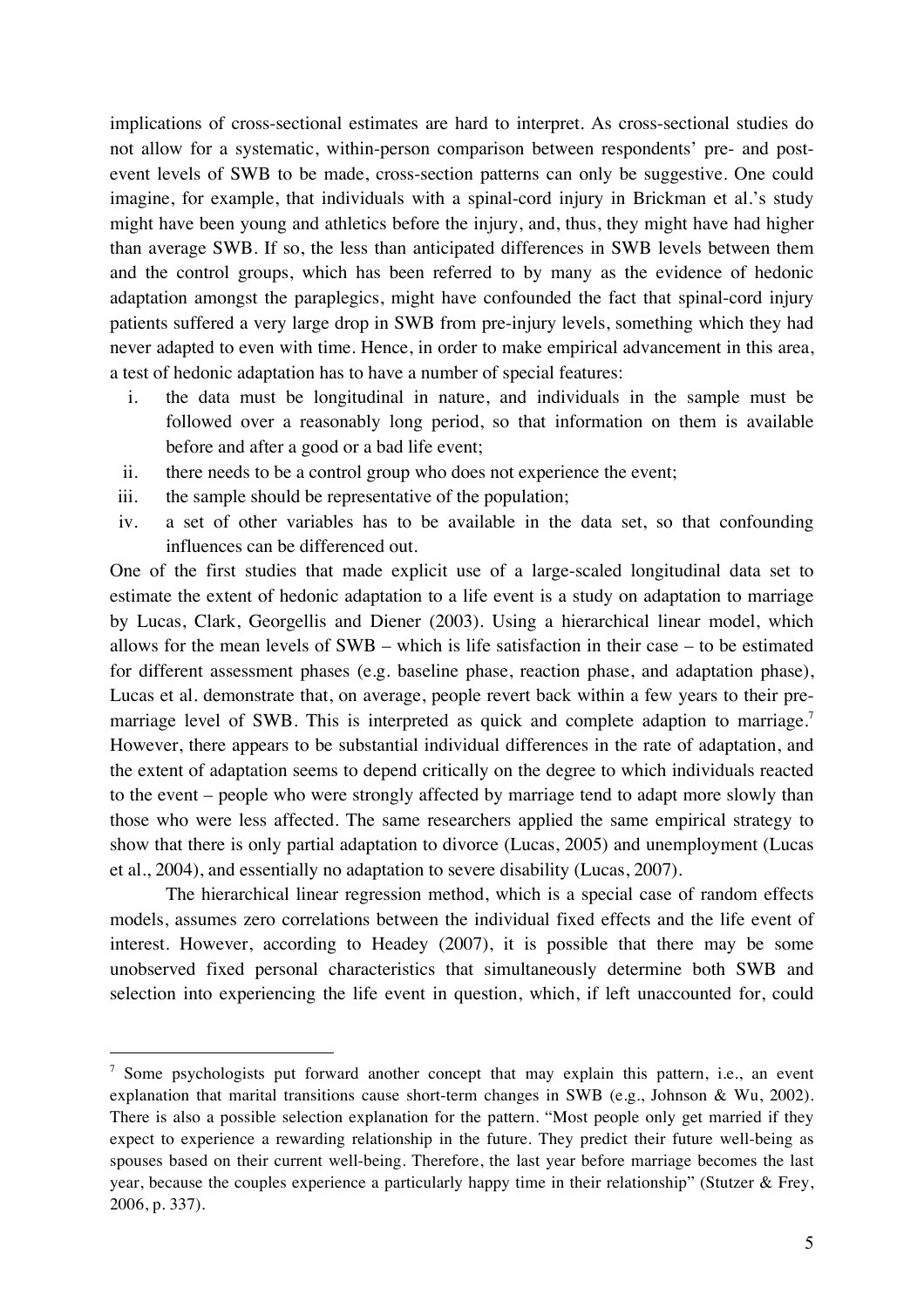implications of cross-sectional estimates are hard to interpret. As cross-sectional studies do not allow for a systematic, within-person comparison between respondents' pre- and postevent levels of SWB to be made, cross-section patterns can only be suggestive. One could imagine, for example, that individuals with a spinal-cord injury in Brickman et al.'s study might have been young and athletics before the injury, and, thus, they might have had higher than average SWB. If so, the less than anticipated differences in SWB levels between them and the control groups, which has been referred to by many as the evidence of hedonic adaptation amongst the paraplegics, might have confounded the fact that spinal-cord injury patients suffered a very large drop in SWB from pre-injury levels, something which they had never adapted to even with time. Hence, in order to make empirical advancement in this area, a test of hedonic adaptation has to have a number of special features:

- i. the data must be longitudinal in nature, and individuals in the sample must be followed over a reasonably long period, so that information on them is available before and after a good or a bad life event;
- ii. there needs to be a control group who does not experience the event;
- iii. the sample should be representative of the population;

 $\overline{a}$ 

iv. a set of other variables has to be available in the data set, so that confounding influences can be differenced out.

One of the first studies that made explicit use of a large-scaled longitudinal data set to estimate the extent of hedonic adaptation to a life event is a study on adaptation to marriage by Lucas, Clark, Georgellis and Diener (2003). Using a hierarchical linear model, which allows for the mean levels of SWB – which is life satisfaction in their case – to be estimated for different assessment phases (e.g. baseline phase, reaction phase, and adaptation phase), Lucas et al. demonstrate that, on average, people revert back within a few years to their premarriage level of SWB. This is interpreted as quick and complete adaption to marriage.<sup>7</sup> However, there appears to be substantial individual differences in the rate of adaptation, and the extent of adaptation seems to depend critically on the degree to which individuals reacted to the event – people who were strongly affected by marriage tend to adapt more slowly than those who were less affected. The same researchers applied the same empirical strategy to show that there is only partial adaptation to divorce (Lucas, 2005) and unemployment (Lucas et al., 2004), and essentially no adaptation to severe disability (Lucas, 2007).

The hierarchical linear regression method, which is a special case of random effects models, assumes zero correlations between the individual fixed effects and the life event of interest. However, according to Headey (2007), it is possible that there may be some unobserved fixed personal characteristics that simultaneously determine both SWB and selection into experiencing the life event in question, which, if left unaccounted for, could

<sup>&</sup>lt;sup>7</sup> Some psychologists put forward another concept that may explain this pattern, i.e., an event explanation that marital transitions cause short-term changes in SWB (e.g., Johnson & Wu, 2002). There is also a possible selection explanation for the pattern. "Most people only get married if they expect to experience a rewarding relationship in the future. They predict their future well-being as spouses based on their current well-being. Therefore, the last year before marriage becomes the last year, because the couples experience a particularly happy time in their relationship" (Stutzer & Frey, 2006, p. 337).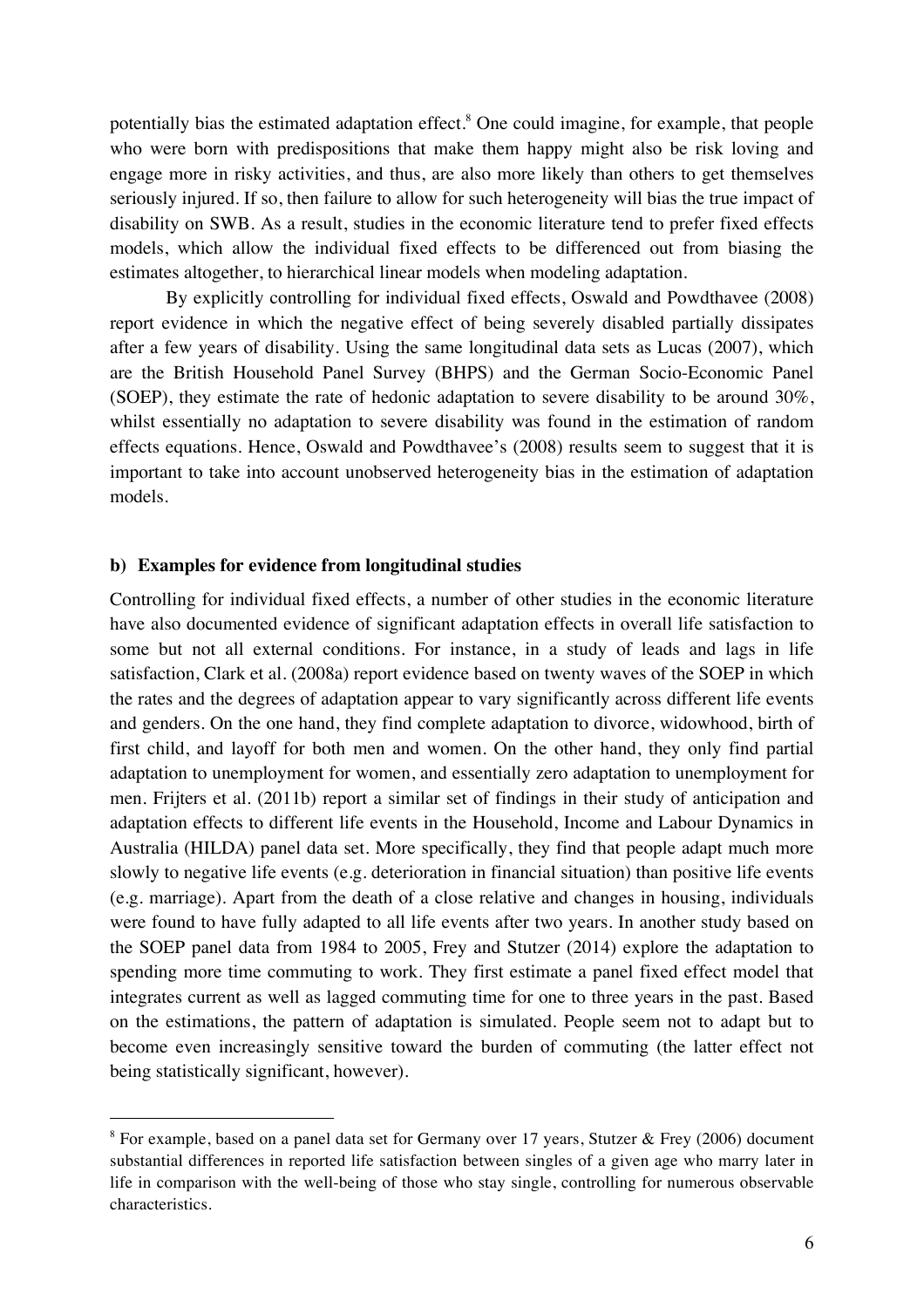potentially bias the estimated adaptation effect.<sup>8</sup> One could imagine, for example, that people who were born with predispositions that make them happy might also be risk loving and engage more in risky activities, and thus, are also more likely than others to get themselves seriously injured. If so, then failure to allow for such heterogeneity will bias the true impact of disability on SWB. As a result, studies in the economic literature tend to prefer fixed effects models, which allow the individual fixed effects to be differenced out from biasing the estimates altogether, to hierarchical linear models when modeling adaptation.

By explicitly controlling for individual fixed effects, Oswald and Powdthavee (2008) report evidence in which the negative effect of being severely disabled partially dissipates after a few years of disability. Using the same longitudinal data sets as Lucas (2007), which are the British Household Panel Survey (BHPS) and the German Socio-Economic Panel (SOEP), they estimate the rate of hedonic adaptation to severe disability to be around 30%, whilst essentially no adaptation to severe disability was found in the estimation of random effects equations. Hence, Oswald and Powdthavee's (2008) results seem to suggest that it is important to take into account unobserved heterogeneity bias in the estimation of adaptation models.

#### **b) Examples for evidence from longitudinal studies**

 $\overline{a}$ 

Controlling for individual fixed effects, a number of other studies in the economic literature have also documented evidence of significant adaptation effects in overall life satisfaction to some but not all external conditions. For instance, in a study of leads and lags in life satisfaction, Clark et al. (2008a) report evidence based on twenty waves of the SOEP in which the rates and the degrees of adaptation appear to vary significantly across different life events and genders. On the one hand, they find complete adaptation to divorce, widowhood, birth of first child, and layoff for both men and women. On the other hand, they only find partial adaptation to unemployment for women, and essentially zero adaptation to unemployment for men. Frijters et al. (2011b) report a similar set of findings in their study of anticipation and adaptation effects to different life events in the Household, Income and Labour Dynamics in Australia (HILDA) panel data set. More specifically, they find that people adapt much more slowly to negative life events (e.g. deterioration in financial situation) than positive life events (e.g. marriage). Apart from the death of a close relative and changes in housing, individuals were found to have fully adapted to all life events after two years. In another study based on the SOEP panel data from 1984 to 2005, Frey and Stutzer (2014) explore the adaptation to spending more time commuting to work. They first estimate a panel fixed effect model that integrates current as well as lagged commuting time for one to three years in the past. Based on the estimations, the pattern of adaptation is simulated. People seem not to adapt but to become even increasingly sensitive toward the burden of commuting (the latter effect not being statistically significant, however).

<sup>&</sup>lt;sup>8</sup> For example, based on a panel data set for Germany over 17 years, Stutzer & Frey (2006) document substantial differences in reported life satisfaction between singles of a given age who marry later in life in comparison with the well-being of those who stay single, controlling for numerous observable characteristics.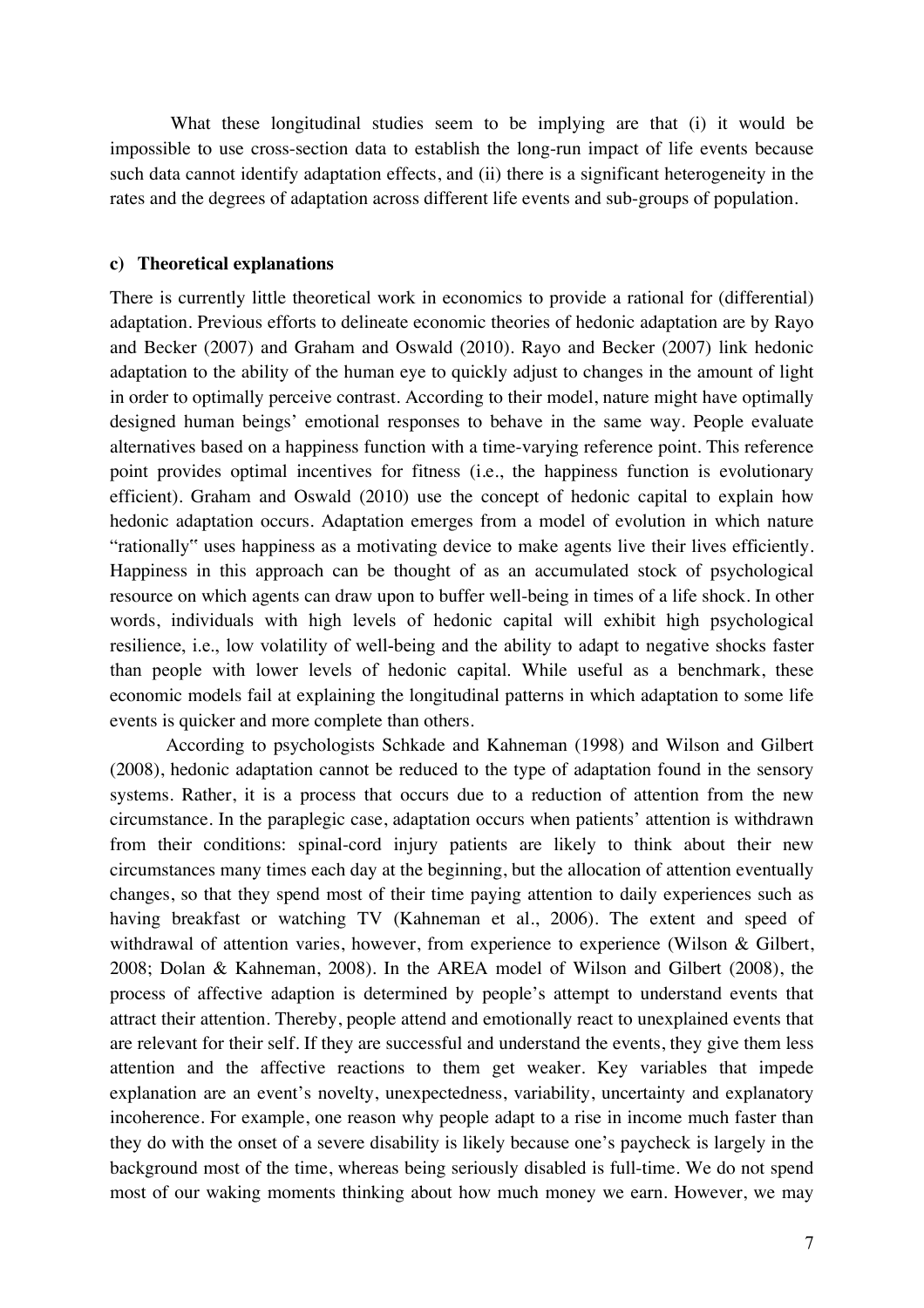What these longitudinal studies seem to be implying are that (i) it would be impossible to use cross-section data to establish the long-run impact of life events because such data cannot identify adaptation effects, and (ii) there is a significant heterogeneity in the rates and the degrees of adaptation across different life events and sub-groups of population.

#### **c) Theoretical explanations**

There is currently little theoretical work in economics to provide a rational for (differential) adaptation. Previous efforts to delineate economic theories of hedonic adaptation are by Rayo and Becker (2007) and Graham and Oswald (2010). Rayo and Becker (2007) link hedonic adaptation to the ability of the human eye to quickly adjust to changes in the amount of light in order to optimally perceive contrast. According to their model, nature might have optimally designed human beings' emotional responses to behave in the same way. People evaluate alternatives based on a happiness function with a time-varying reference point. This reference point provides optimal incentives for fitness (i.e., the happiness function is evolutionary efficient). Graham and Oswald (2010) use the concept of hedonic capital to explain how hedonic adaptation occurs. Adaptation emerges from a model of evolution in which nature "rationally" uses happiness as a motivating device to make agents live their lives efficiently. Happiness in this approach can be thought of as an accumulated stock of psychological resource on which agents can draw upon to buffer well-being in times of a life shock. In other words, individuals with high levels of hedonic capital will exhibit high psychological resilience, i.e., low volatility of well-being and the ability to adapt to negative shocks faster than people with lower levels of hedonic capital. While useful as a benchmark, these economic models fail at explaining the longitudinal patterns in which adaptation to some life events is quicker and more complete than others.

According to psychologists Schkade and Kahneman (1998) and Wilson and Gilbert (2008), hedonic adaptation cannot be reduced to the type of adaptation found in the sensory systems. Rather, it is a process that occurs due to a reduction of attention from the new circumstance. In the paraplegic case, adaptation occurs when patients' attention is withdrawn from their conditions: spinal-cord injury patients are likely to think about their new circumstances many times each day at the beginning, but the allocation of attention eventually changes, so that they spend most of their time paying attention to daily experiences such as having breakfast or watching TV (Kahneman et al., 2006). The extent and speed of withdrawal of attention varies, however, from experience to experience (Wilson & Gilbert, 2008; Dolan & Kahneman, 2008). In the AREA model of Wilson and Gilbert (2008), the process of affective adaption is determined by people's attempt to understand events that attract their attention. Thereby, people attend and emotionally react to unexplained events that are relevant for their self. If they are successful and understand the events, they give them less attention and the affective reactions to them get weaker. Key variables that impede explanation are an event's novelty, unexpectedness, variability, uncertainty and explanatory incoherence. For example, one reason why people adapt to a rise in income much faster than they do with the onset of a severe disability is likely because one's paycheck is largely in the background most of the time, whereas being seriously disabled is full-time. We do not spend most of our waking moments thinking about how much money we earn. However, we may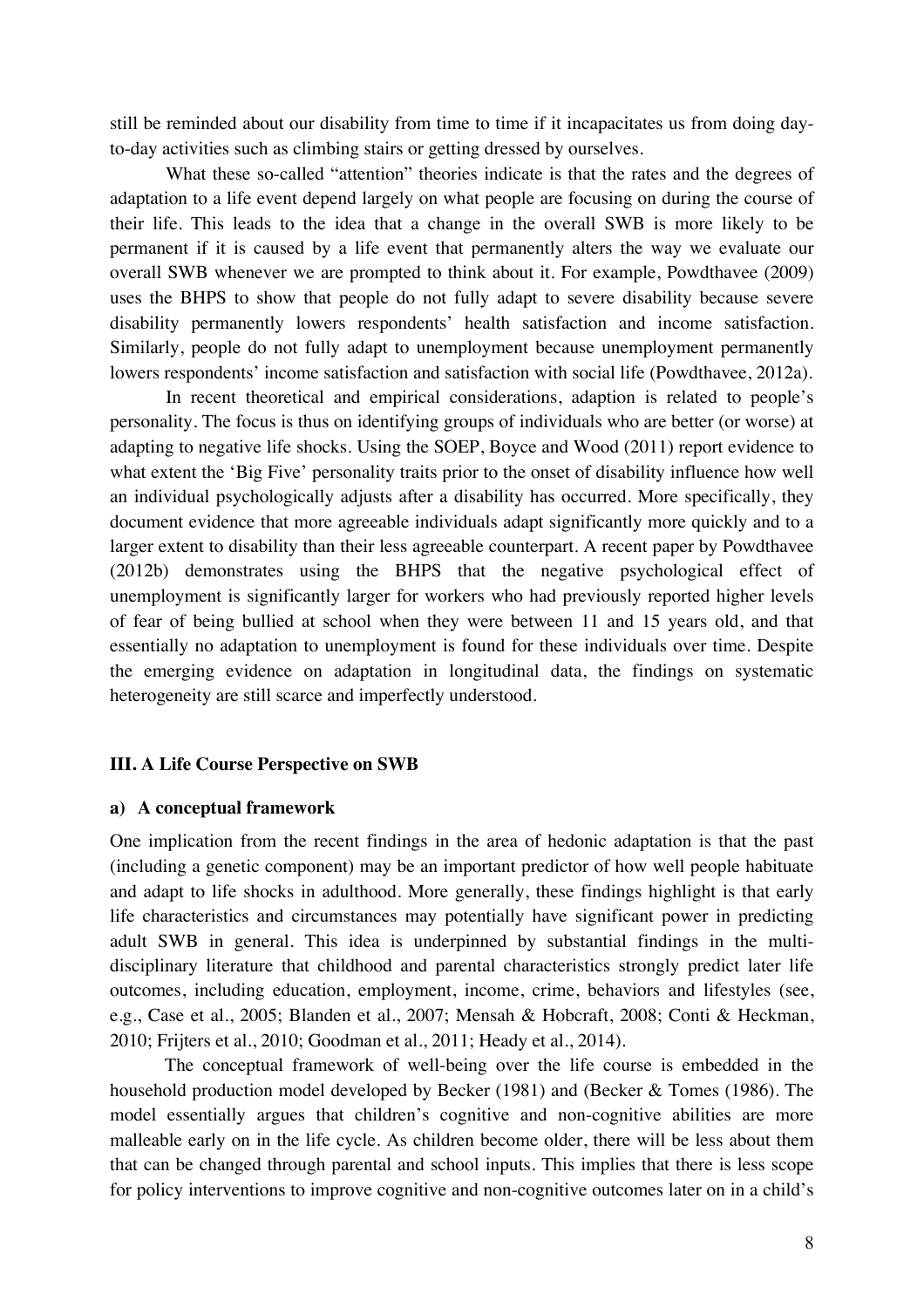still be reminded about our disability from time to time if it incapacitates us from doing dayto-day activities such as climbing stairs or getting dressed by ourselves.

What these so-called "attention" theories indicate is that the rates and the degrees of adaptation to a life event depend largely on what people are focusing on during the course of their life. This leads to the idea that a change in the overall SWB is more likely to be permanent if it is caused by a life event that permanently alters the way we evaluate our overall SWB whenever we are prompted to think about it. For example, Powdthavee (2009) uses the BHPS to show that people do not fully adapt to severe disability because severe disability permanently lowers respondents' health satisfaction and income satisfaction. Similarly, people do not fully adapt to unemployment because unemployment permanently lowers respondents' income satisfaction and satisfaction with social life (Powdthavee, 2012a).

In recent theoretical and empirical considerations, adaption is related to people's personality. The focus is thus on identifying groups of individuals who are better (or worse) at adapting to negative life shocks. Using the SOEP, Boyce and Wood (2011) report evidence to what extent the 'Big Five' personality traits prior to the onset of disability influence how well an individual psychologically adjusts after a disability has occurred. More specifically, they document evidence that more agreeable individuals adapt significantly more quickly and to a larger extent to disability than their less agreeable counterpart. A recent paper by Powdthavee (2012b) demonstrates using the BHPS that the negative psychological effect of unemployment is significantly larger for workers who had previously reported higher levels of fear of being bullied at school when they were between 11 and 15 years old, and that essentially no adaptation to unemployment is found for these individuals over time. Despite the emerging evidence on adaptation in longitudinal data, the findings on systematic heterogeneity are still scarce and imperfectly understood.

#### **III. A Life Course Perspective on SWB**

#### **a) A conceptual framework**

One implication from the recent findings in the area of hedonic adaptation is that the past (including a genetic component) may be an important predictor of how well people habituate and adapt to life shocks in adulthood. More generally, these findings highlight is that early life characteristics and circumstances may potentially have significant power in predicting adult SWB in general. This idea is underpinned by substantial findings in the multidisciplinary literature that childhood and parental characteristics strongly predict later life outcomes, including education, employment, income, crime, behaviors and lifestyles (see, e.g., Case et al., 2005; Blanden et al., 2007; Mensah & Hobcraft, 2008; Conti & Heckman, 2010; Frijters et al., 2010; Goodman et al., 2011; Heady et al., 2014).

The conceptual framework of well-being over the life course is embedded in the household production model developed by Becker (1981) and (Becker & Tomes (1986). The model essentially argues that children's cognitive and non-cognitive abilities are more malleable early on in the life cycle. As children become older, there will be less about them that can be changed through parental and school inputs. This implies that there is less scope for policy interventions to improve cognitive and non-cognitive outcomes later on in a child's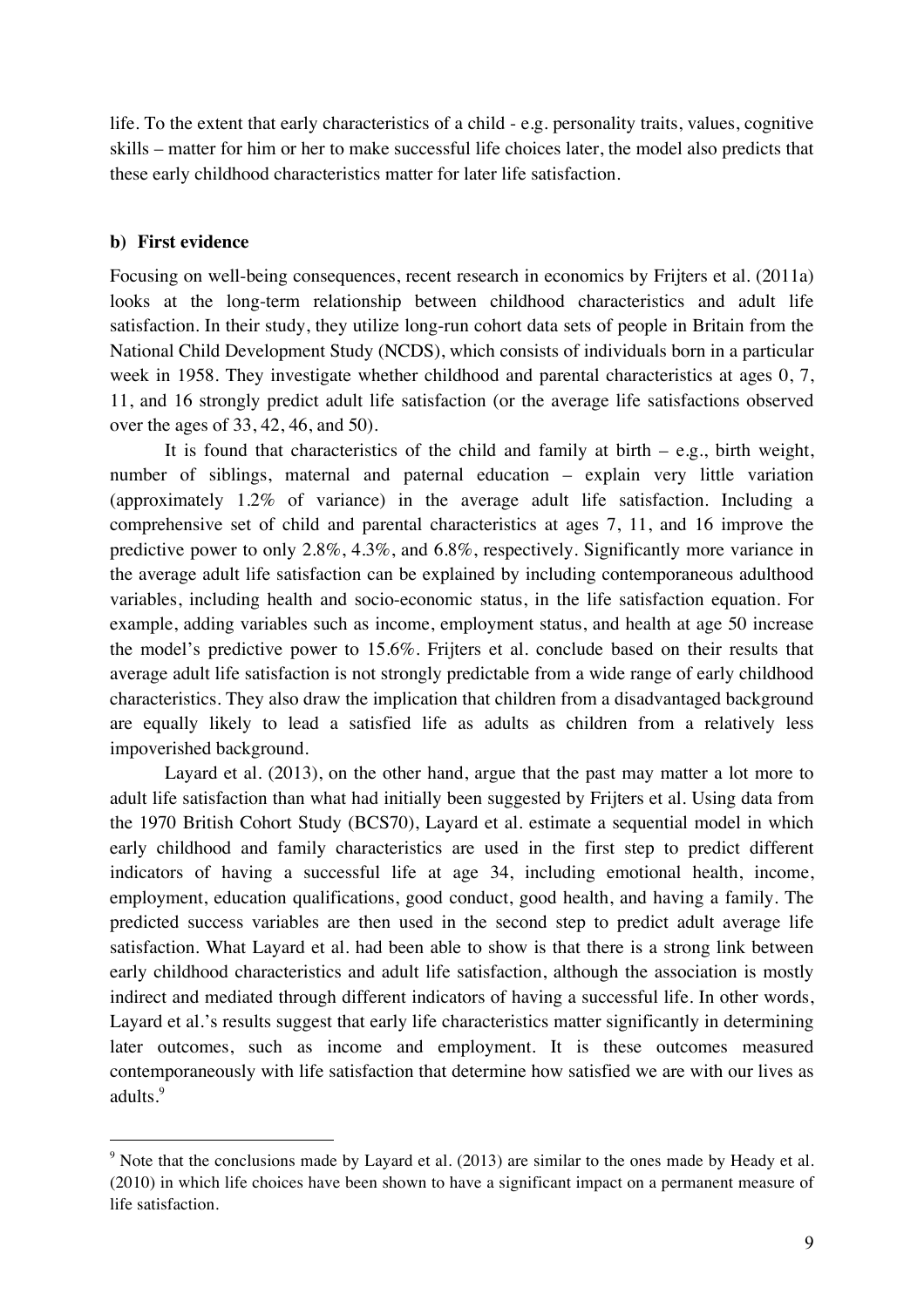life. To the extent that early characteristics of a child - e.g. personality traits, values, cognitive skills – matter for him or her to make successful life choices later, the model also predicts that these early childhood characteristics matter for later life satisfaction.

#### **b) First evidence**

 $\overline{a}$ 

Focusing on well-being consequences, recent research in economics by Frijters et al. (2011a) looks at the long-term relationship between childhood characteristics and adult life satisfaction. In their study, they utilize long-run cohort data sets of people in Britain from the National Child Development Study (NCDS), which consists of individuals born in a particular week in 1958. They investigate whether childhood and parental characteristics at ages 0, 7, 11, and 16 strongly predict adult life satisfaction (or the average life satisfactions observed over the ages of 33, 42, 46, and 50).

It is found that characteristics of the child and family at birth  $-e.g.,$  birth weight, number of siblings, maternal and paternal education – explain very little variation (approximately 1.2% of variance) in the average adult life satisfaction. Including a comprehensive set of child and parental characteristics at ages 7, 11, and 16 improve the predictive power to only 2.8%, 4.3%, and 6.8%, respectively. Significantly more variance in the average adult life satisfaction can be explained by including contemporaneous adulthood variables, including health and socio-economic status, in the life satisfaction equation. For example, adding variables such as income, employment status, and health at age 50 increase the model's predictive power to 15.6%. Frijters et al. conclude based on their results that average adult life satisfaction is not strongly predictable from a wide range of early childhood characteristics. They also draw the implication that children from a disadvantaged background are equally likely to lead a satisfied life as adults as children from a relatively less impoverished background.

Layard et al. (2013), on the other hand, argue that the past may matter a lot more to adult life satisfaction than what had initially been suggested by Frijters et al. Using data from the 1970 British Cohort Study (BCS70), Layard et al. estimate a sequential model in which early childhood and family characteristics are used in the first step to predict different indicators of having a successful life at age 34, including emotional health, income, employment, education qualifications, good conduct, good health, and having a family. The predicted success variables are then used in the second step to predict adult average life satisfaction. What Layard et al. had been able to show is that there is a strong link between early childhood characteristics and adult life satisfaction, although the association is mostly indirect and mediated through different indicators of having a successful life. In other words, Layard et al.'s results suggest that early life characteristics matter significantly in determining later outcomes, such as income and employment. It is these outcomes measured contemporaneously with life satisfaction that determine how satisfied we are with our lives as adults.<sup>9</sup>

 $9$  Note that the conclusions made by Layard et al. (2013) are similar to the ones made by Heady et al. (2010) in which life choices have been shown to have a significant impact on a permanent measure of life satisfaction.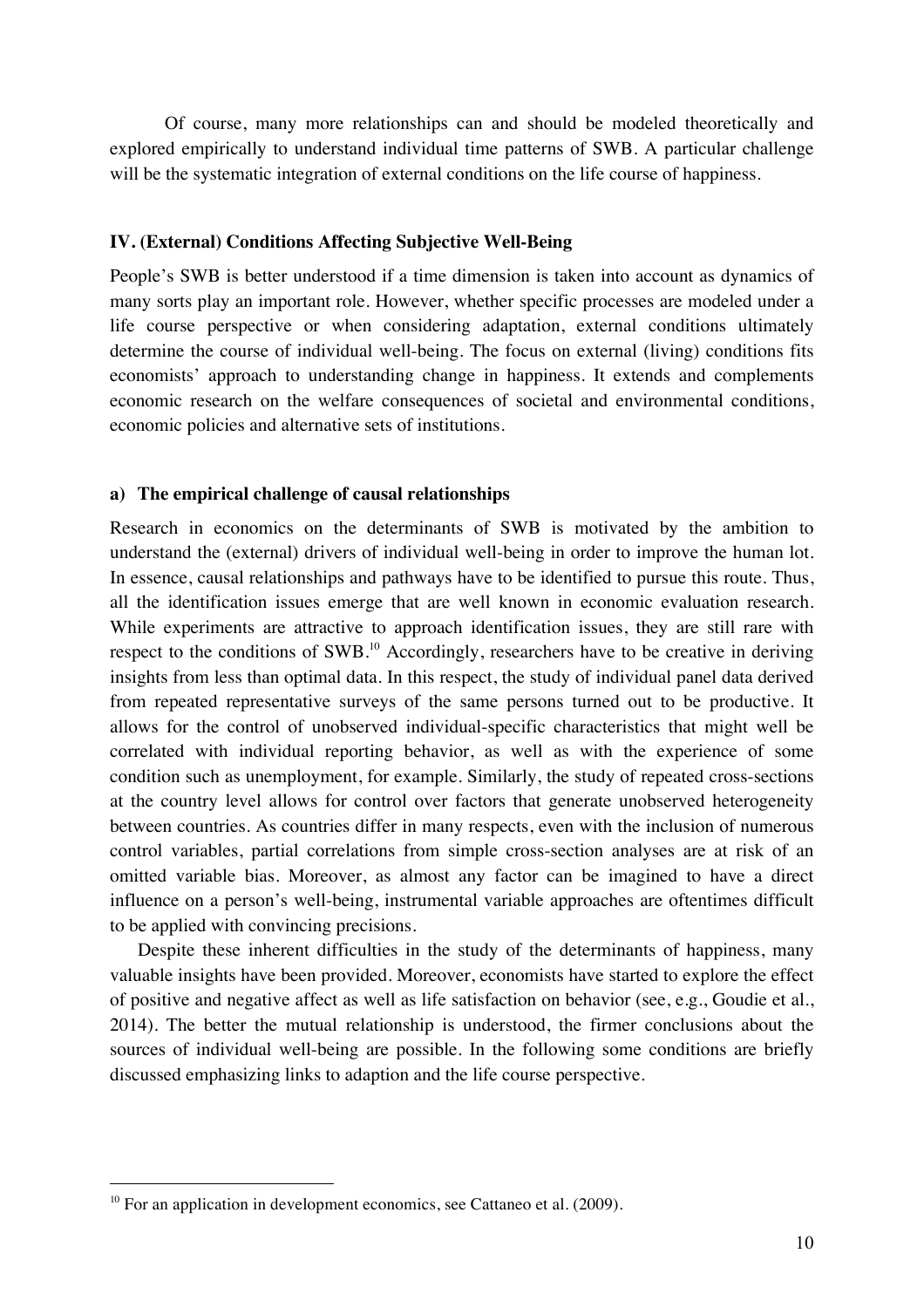Of course, many more relationships can and should be modeled theoretically and explored empirically to understand individual time patterns of SWB. A particular challenge will be the systematic integration of external conditions on the life course of happiness.

#### **IV. (External) Conditions Affecting Subjective Well-Being**

People's SWB is better understood if a time dimension is taken into account as dynamics of many sorts play an important role. However, whether specific processes are modeled under a life course perspective or when considering adaptation, external conditions ultimately determine the course of individual well-being. The focus on external (living) conditions fits economists' approach to understanding change in happiness. It extends and complements economic research on the welfare consequences of societal and environmental conditions, economic policies and alternative sets of institutions.

#### **a) The empirical challenge of causal relationships**

Research in economics on the determinants of SWB is motivated by the ambition to understand the (external) drivers of individual well-being in order to improve the human lot. In essence, causal relationships and pathways have to be identified to pursue this route. Thus, all the identification issues emerge that are well known in economic evaluation research. While experiments are attractive to approach identification issues, they are still rare with respect to the conditions of SWB.<sup>10</sup> Accordingly, researchers have to be creative in deriving insights from less than optimal data. In this respect, the study of individual panel data derived from repeated representative surveys of the same persons turned out to be productive. It allows for the control of unobserved individual-specific characteristics that might well be correlated with individual reporting behavior, as well as with the experience of some condition such as unemployment, for example. Similarly, the study of repeated cross-sections at the country level allows for control over factors that generate unobserved heterogeneity between countries. As countries differ in many respects, even with the inclusion of numerous control variables, partial correlations from simple cross-section analyses are at risk of an omitted variable bias. Moreover, as almost any factor can be imagined to have a direct influence on a person's well-being, instrumental variable approaches are oftentimes difficult to be applied with convincing precisions.

Despite these inherent difficulties in the study of the determinants of happiness, many valuable insights have been provided. Moreover, economists have started to explore the effect of positive and negative affect as well as life satisfaction on behavior (see, e.g., Goudie et al., 2014). The better the mutual relationship is understood, the firmer conclusions about the sources of individual well-being are possible. In the following some conditions are briefly discussed emphasizing links to adaption and the life course perspective.

 $\overline{a}$ 

 $10$  For an application in development economics, see Cattaneo et al. (2009).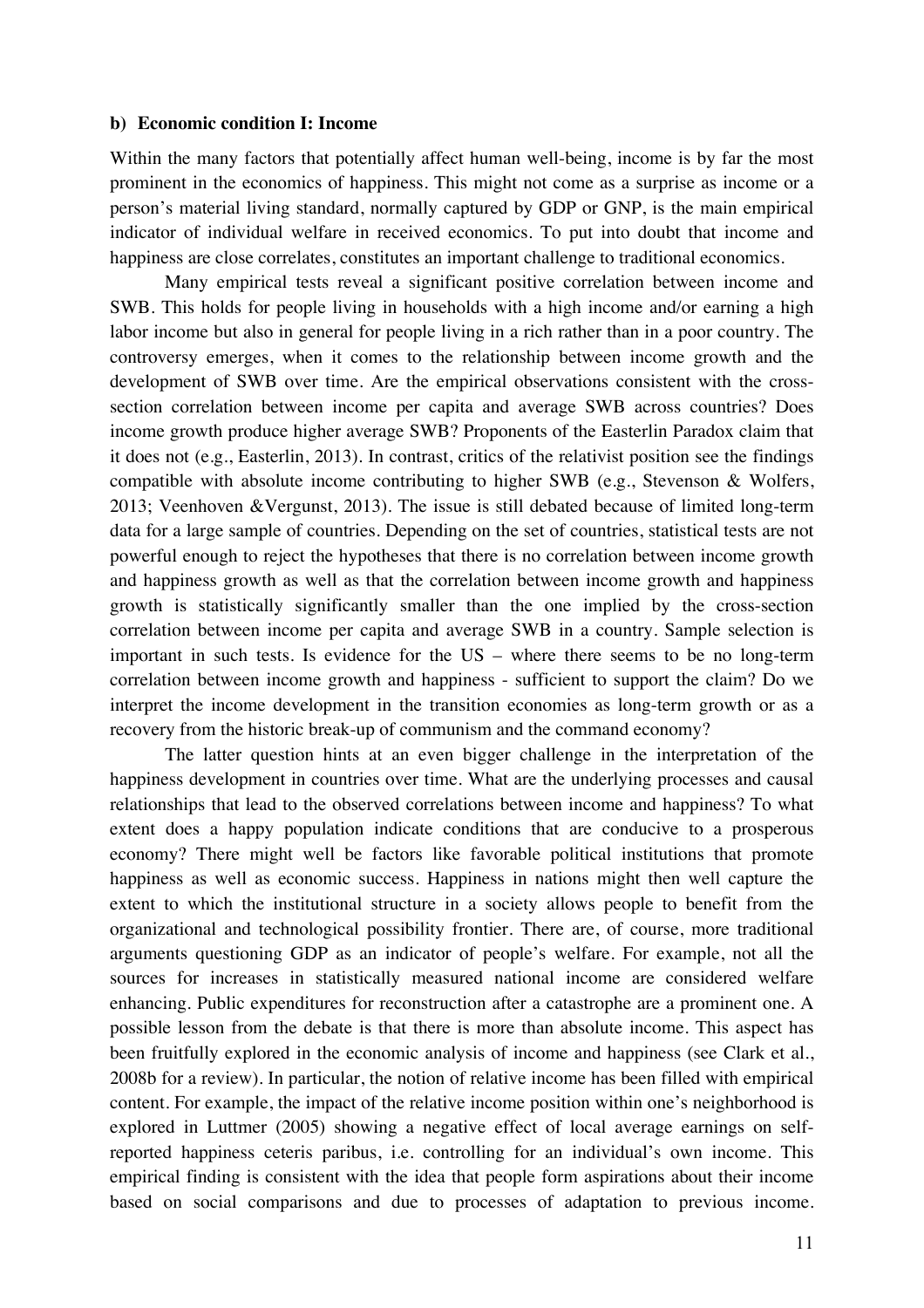#### **b) Economic condition I: Income**

Within the many factors that potentially affect human well-being, income is by far the most prominent in the economics of happiness. This might not come as a surprise as income or a person's material living standard, normally captured by GDP or GNP, is the main empirical indicator of individual welfare in received economics. To put into doubt that income and happiness are close correlates, constitutes an important challenge to traditional economics.

Many empirical tests reveal a significant positive correlation between income and SWB. This holds for people living in households with a high income and/or earning a high labor income but also in general for people living in a rich rather than in a poor country. The controversy emerges, when it comes to the relationship between income growth and the development of SWB over time. Are the empirical observations consistent with the crosssection correlation between income per capita and average SWB across countries? Does income growth produce higher average SWB? Proponents of the Easterlin Paradox claim that it does not (e.g., Easterlin, 2013). In contrast, critics of the relativist position see the findings compatible with absolute income contributing to higher SWB (e.g., Stevenson & Wolfers, 2013; Veenhoven &Vergunst, 2013). The issue is still debated because of limited long-term data for a large sample of countries. Depending on the set of countries, statistical tests are not powerful enough to reject the hypotheses that there is no correlation between income growth and happiness growth as well as that the correlation between income growth and happiness growth is statistically significantly smaller than the one implied by the cross-section correlation between income per capita and average SWB in a country. Sample selection is important in such tests. Is evidence for the US – where there seems to be no long-term correlation between income growth and happiness - sufficient to support the claim? Do we interpret the income development in the transition economies as long-term growth or as a recovery from the historic break-up of communism and the command economy?

The latter question hints at an even bigger challenge in the interpretation of the happiness development in countries over time. What are the underlying processes and causal relationships that lead to the observed correlations between income and happiness? To what extent does a happy population indicate conditions that are conducive to a prosperous economy? There might well be factors like favorable political institutions that promote happiness as well as economic success. Happiness in nations might then well capture the extent to which the institutional structure in a society allows people to benefit from the organizational and technological possibility frontier. There are, of course, more traditional arguments questioning GDP as an indicator of people's welfare. For example, not all the sources for increases in statistically measured national income are considered welfare enhancing. Public expenditures for reconstruction after a catastrophe are a prominent one. A possible lesson from the debate is that there is more than absolute income. This aspect has been fruitfully explored in the economic analysis of income and happiness (see Clark et al., 2008b for a review). In particular, the notion of relative income has been filled with empirical content. For example, the impact of the relative income position within one's neighborhood is explored in Luttmer (2005) showing a negative effect of local average earnings on selfreported happiness ceteris paribus, i.e. controlling for an individual's own income. This empirical finding is consistent with the idea that people form aspirations about their income based on social comparisons and due to processes of adaptation to previous income.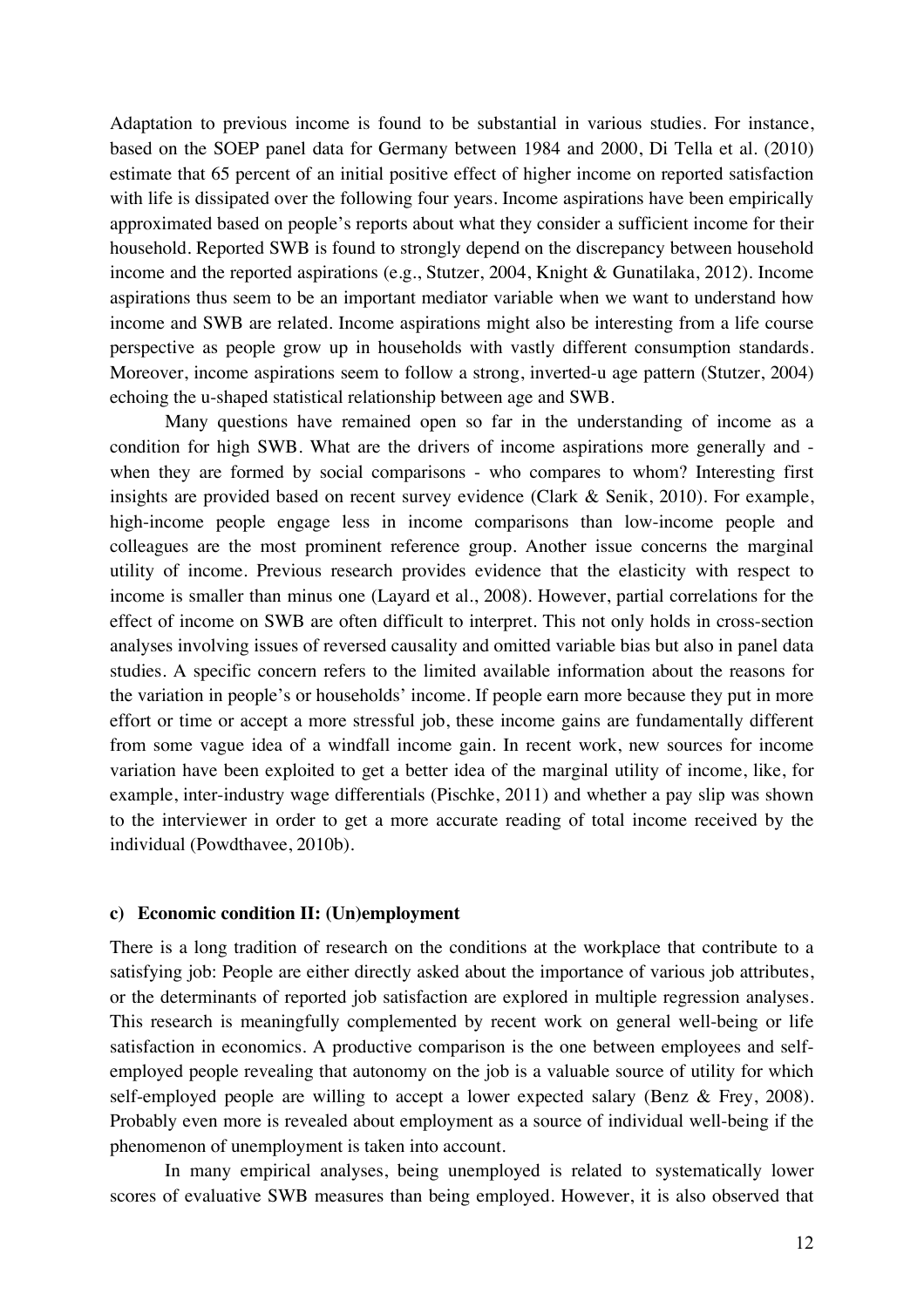Adaptation to previous income is found to be substantial in various studies. For instance, based on the SOEP panel data for Germany between 1984 and 2000, Di Tella et al. (2010) estimate that 65 percent of an initial positive effect of higher income on reported satisfaction with life is dissipated over the following four years. Income aspirations have been empirically approximated based on people's reports about what they consider a sufficient income for their household. Reported SWB is found to strongly depend on the discrepancy between household income and the reported aspirations (e.g., Stutzer, 2004, Knight & Gunatilaka, 2012). Income aspirations thus seem to be an important mediator variable when we want to understand how income and SWB are related. Income aspirations might also be interesting from a life course perspective as people grow up in households with vastly different consumption standards. Moreover, income aspirations seem to follow a strong, inverted-u age pattern (Stutzer, 2004) echoing the u-shaped statistical relationship between age and SWB.

Many questions have remained open so far in the understanding of income as a condition for high SWB. What are the drivers of income aspirations more generally and when they are formed by social comparisons - who compares to whom? Interesting first insights are provided based on recent survey evidence (Clark & Senik, 2010). For example, high-income people engage less in income comparisons than low-income people and colleagues are the most prominent reference group. Another issue concerns the marginal utility of income. Previous research provides evidence that the elasticity with respect to income is smaller than minus one (Layard et al., 2008). However, partial correlations for the effect of income on SWB are often difficult to interpret. This not only holds in cross-section analyses involving issues of reversed causality and omitted variable bias but also in panel data studies. A specific concern refers to the limited available information about the reasons for the variation in people's or households' income. If people earn more because they put in more effort or time or accept a more stressful job, these income gains are fundamentally different from some vague idea of a windfall income gain. In recent work, new sources for income variation have been exploited to get a better idea of the marginal utility of income, like, for example, inter-industry wage differentials (Pischke, 2011) and whether a pay slip was shown to the interviewer in order to get a more accurate reading of total income received by the individual (Powdthavee, 2010b).

#### **c) Economic condition II: (Un)employment**

There is a long tradition of research on the conditions at the workplace that contribute to a satisfying job: People are either directly asked about the importance of various job attributes, or the determinants of reported job satisfaction are explored in multiple regression analyses. This research is meaningfully complemented by recent work on general well-being or life satisfaction in economics. A productive comparison is the one between employees and selfemployed people revealing that autonomy on the job is a valuable source of utility for which self-employed people are willing to accept a lower expected salary (Benz & Frey, 2008). Probably even more is revealed about employment as a source of individual well-being if the phenomenon of unemployment is taken into account.

In many empirical analyses, being unemployed is related to systematically lower scores of evaluative SWB measures than being employed. However, it is also observed that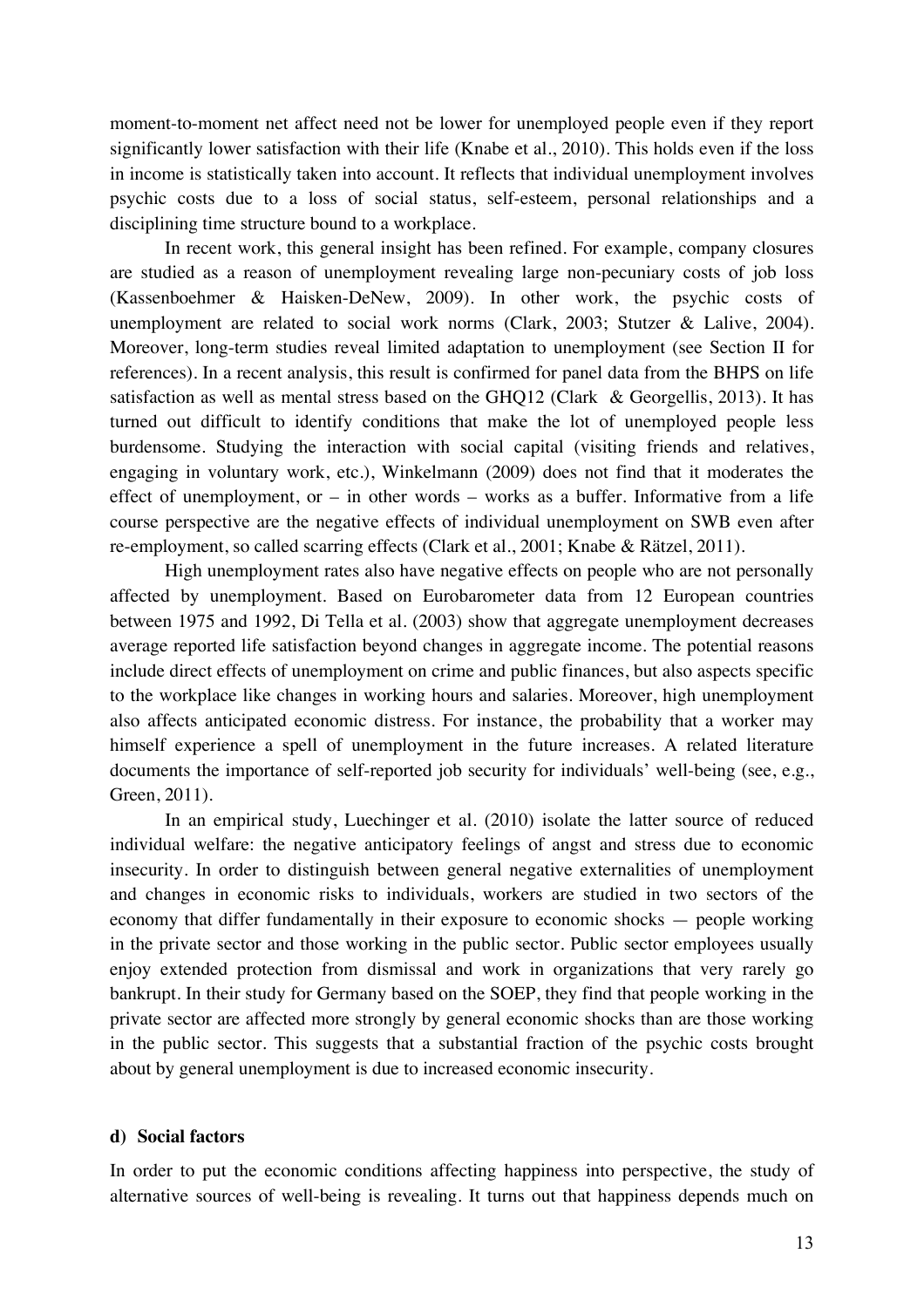moment-to-moment net affect need not be lower for unemployed people even if they report significantly lower satisfaction with their life (Knabe et al., 2010). This holds even if the loss in income is statistically taken into account. It reflects that individual unemployment involves psychic costs due to a loss of social status, self-esteem, personal relationships and a disciplining time structure bound to a workplace.

In recent work, this general insight has been refined. For example, company closures are studied as a reason of unemployment revealing large non-pecuniary costs of job loss (Kassenboehmer & Haisken-DeNew, 2009). In other work, the psychic costs of unemployment are related to social work norms (Clark, 2003; Stutzer & Lalive, 2004). Moreover, long-term studies reveal limited adaptation to unemployment (see Section II for references). In a recent analysis, this result is confirmed for panel data from the BHPS on life satisfaction as well as mental stress based on the GHQ12 (Clark & Georgellis, 2013). It has turned out difficult to identify conditions that make the lot of unemployed people less burdensome. Studying the interaction with social capital (visiting friends and relatives, engaging in voluntary work, etc.), Winkelmann (2009) does not find that it moderates the effect of unemployment, or  $-$  in other words  $-$  works as a buffer. Informative from a life course perspective are the negative effects of individual unemployment on SWB even after re-employment, so called scarring effects (Clark et al., 2001; Knabe & Rätzel, 2011).

High unemployment rates also have negative effects on people who are not personally affected by unemployment. Based on Eurobarometer data from 12 European countries between 1975 and 1992, Di Tella et al. (2003) show that aggregate unemployment decreases average reported life satisfaction beyond changes in aggregate income. The potential reasons include direct effects of unemployment on crime and public finances, but also aspects specific to the workplace like changes in working hours and salaries. Moreover, high unemployment also affects anticipated economic distress. For instance, the probability that a worker may himself experience a spell of unemployment in the future increases. A related literature documents the importance of self-reported job security for individuals' well-being (see, e.g., Green, 2011).

In an empirical study, Luechinger et al. (2010) isolate the latter source of reduced individual welfare: the negative anticipatory feelings of angst and stress due to economic insecurity. In order to distinguish between general negative externalities of unemployment and changes in economic risks to individuals, workers are studied in two sectors of the economy that differ fundamentally in their exposure to economic shocks — people working in the private sector and those working in the public sector. Public sector employees usually enjoy extended protection from dismissal and work in organizations that very rarely go bankrupt. In their study for Germany based on the SOEP, they find that people working in the private sector are affected more strongly by general economic shocks than are those working in the public sector. This suggests that a substantial fraction of the psychic costs brought about by general unemployment is due to increased economic insecurity.

#### **d) Social factors**

In order to put the economic conditions affecting happiness into perspective, the study of alternative sources of well-being is revealing. It turns out that happiness depends much on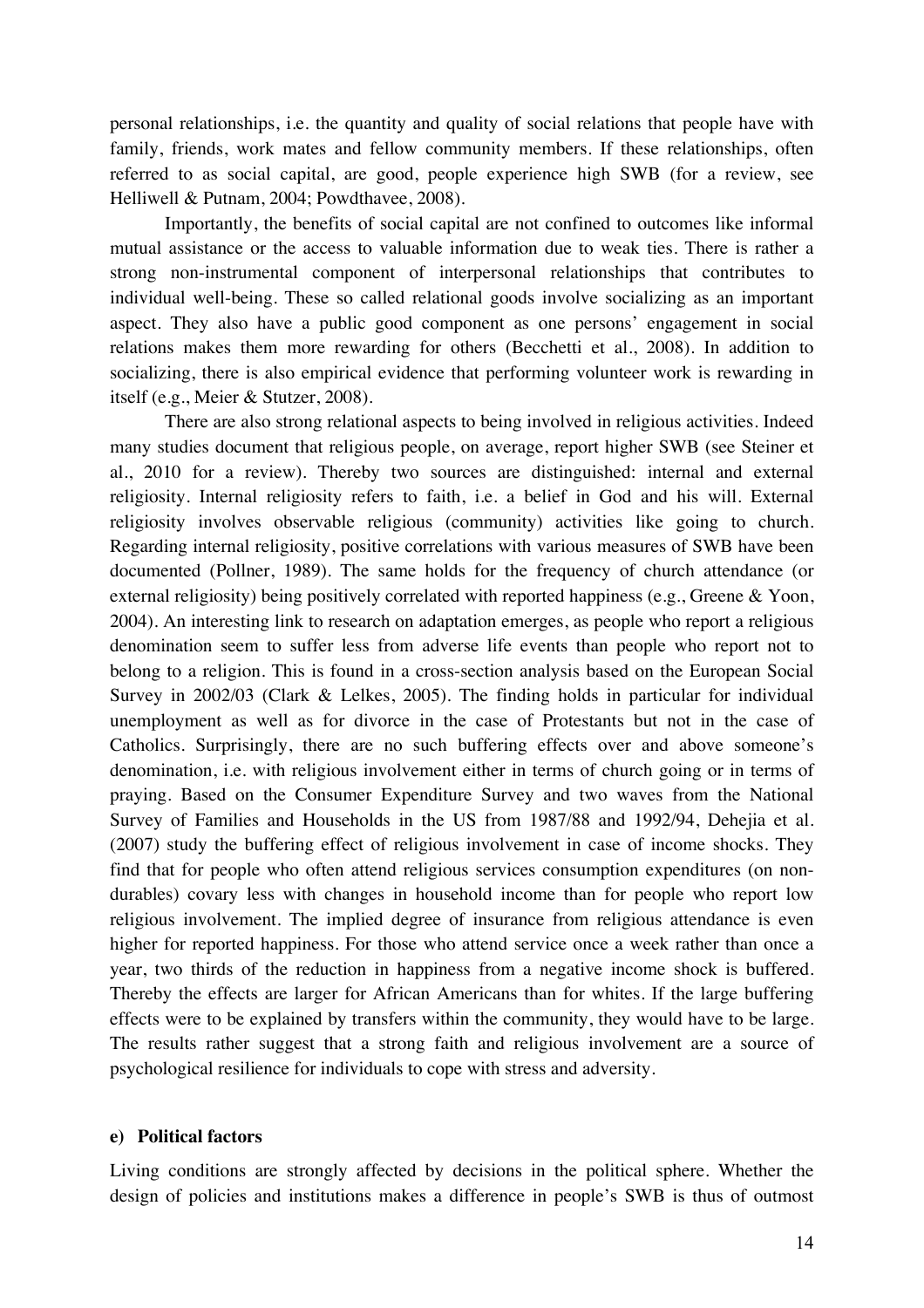personal relationships, i.e. the quantity and quality of social relations that people have with family, friends, work mates and fellow community members. If these relationships, often referred to as social capital, are good, people experience high SWB (for a review, see Helliwell & Putnam, 2004; Powdthavee, 2008).

Importantly, the benefits of social capital are not confined to outcomes like informal mutual assistance or the access to valuable information due to weak ties. There is rather a strong non-instrumental component of interpersonal relationships that contributes to individual well-being. These so called relational goods involve socializing as an important aspect. They also have a public good component as one persons' engagement in social relations makes them more rewarding for others (Becchetti et al., 2008). In addition to socializing, there is also empirical evidence that performing volunteer work is rewarding in itself (e.g., Meier & Stutzer, 2008).

There are also strong relational aspects to being involved in religious activities. Indeed many studies document that religious people, on average, report higher SWB (see Steiner et al., 2010 for a review). Thereby two sources are distinguished: internal and external religiosity. Internal religiosity refers to faith, i.e. a belief in God and his will. External religiosity involves observable religious (community) activities like going to church. Regarding internal religiosity, positive correlations with various measures of SWB have been documented (Pollner, 1989). The same holds for the frequency of church attendance (or external religiosity) being positively correlated with reported happiness (e.g., Greene & Yoon, 2004). An interesting link to research on adaptation emerges, as people who report a religious denomination seem to suffer less from adverse life events than people who report not to belong to a religion. This is found in a cross-section analysis based on the European Social Survey in 2002/03 (Clark & Lelkes, 2005). The finding holds in particular for individual unemployment as well as for divorce in the case of Protestants but not in the case of Catholics. Surprisingly, there are no such buffering effects over and above someone's denomination, i.e. with religious involvement either in terms of church going or in terms of praying. Based on the Consumer Expenditure Survey and two waves from the National Survey of Families and Households in the US from 1987/88 and 1992/94, Dehejia et al. (2007) study the buffering effect of religious involvement in case of income shocks. They find that for people who often attend religious services consumption expenditures (on nondurables) covary less with changes in household income than for people who report low religious involvement. The implied degree of insurance from religious attendance is even higher for reported happiness. For those who attend service once a week rather than once a year, two thirds of the reduction in happiness from a negative income shock is buffered. Thereby the effects are larger for African Americans than for whites. If the large buffering effects were to be explained by transfers within the community, they would have to be large. The results rather suggest that a strong faith and religious involvement are a source of psychological resilience for individuals to cope with stress and adversity.

#### **e) Political factors**

Living conditions are strongly affected by decisions in the political sphere. Whether the design of policies and institutions makes a difference in people's SWB is thus of outmost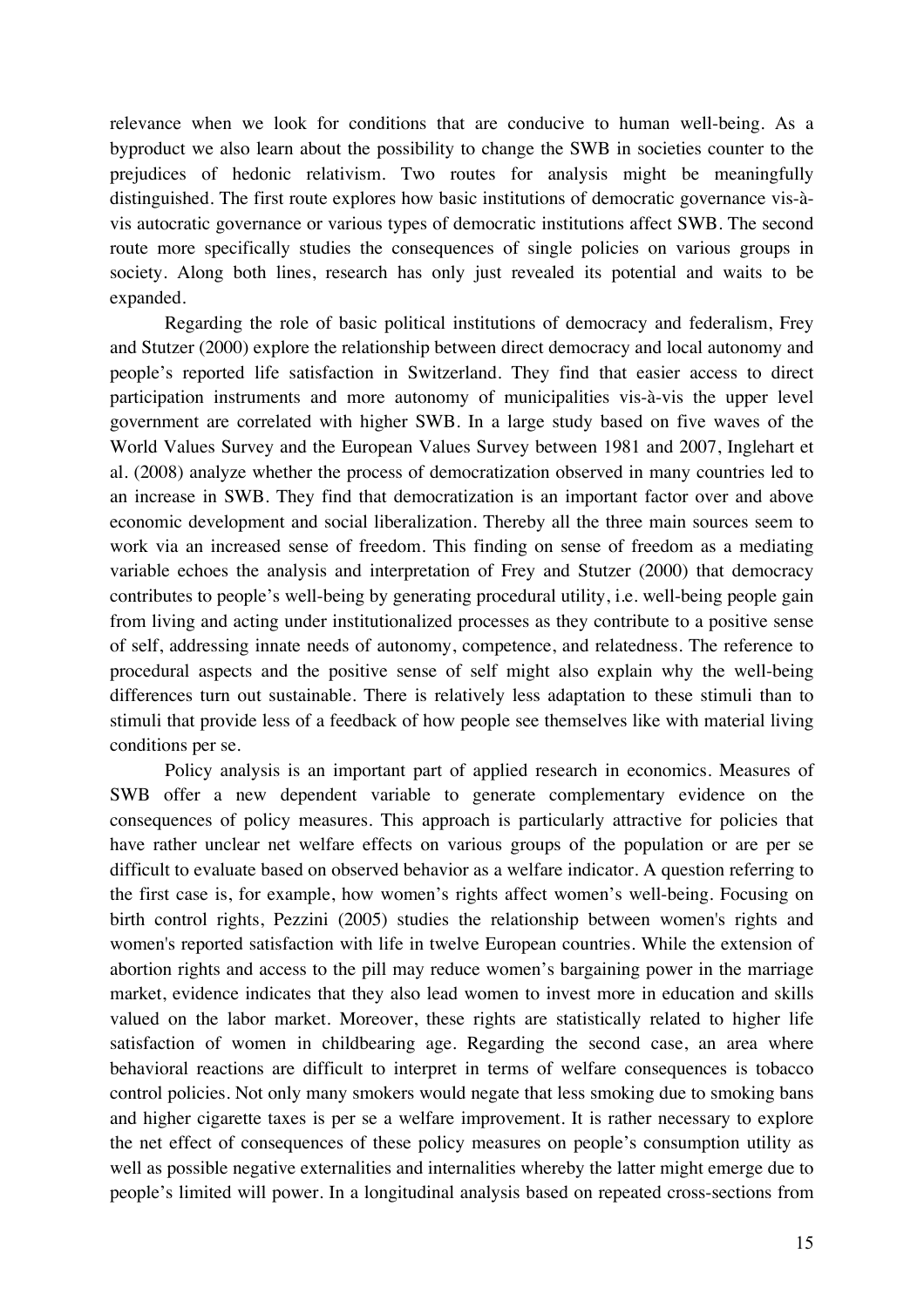relevance when we look for conditions that are conducive to human well-being. As a byproduct we also learn about the possibility to change the SWB in societies counter to the prejudices of hedonic relativism. Two routes for analysis might be meaningfully distinguished. The first route explores how basic institutions of democratic governance vis-àvis autocratic governance or various types of democratic institutions affect SWB. The second route more specifically studies the consequences of single policies on various groups in society. Along both lines, research has only just revealed its potential and waits to be expanded.

Regarding the role of basic political institutions of democracy and federalism, Frey and Stutzer (2000) explore the relationship between direct democracy and local autonomy and people's reported life satisfaction in Switzerland. They find that easier access to direct participation instruments and more autonomy of municipalities vis-à-vis the upper level government are correlated with higher SWB. In a large study based on five waves of the World Values Survey and the European Values Survey between 1981 and 2007, Inglehart et al. (2008) analyze whether the process of democratization observed in many countries led to an increase in SWB. They find that democratization is an important factor over and above economic development and social liberalization. Thereby all the three main sources seem to work via an increased sense of freedom. This finding on sense of freedom as a mediating variable echoes the analysis and interpretation of Frey and Stutzer (2000) that democracy contributes to people's well-being by generating procedural utility, i.e. well-being people gain from living and acting under institutionalized processes as they contribute to a positive sense of self, addressing innate needs of autonomy, competence, and relatedness. The reference to procedural aspects and the positive sense of self might also explain why the well-being differences turn out sustainable. There is relatively less adaptation to these stimuli than to stimuli that provide less of a feedback of how people see themselves like with material living conditions per se.

Policy analysis is an important part of applied research in economics. Measures of SWB offer a new dependent variable to generate complementary evidence on the consequences of policy measures. This approach is particularly attractive for policies that have rather unclear net welfare effects on various groups of the population or are per se difficult to evaluate based on observed behavior as a welfare indicator. A question referring to the first case is, for example, how women's rights affect women's well-being. Focusing on birth control rights, Pezzini (2005) studies the relationship between women's rights and women's reported satisfaction with life in twelve European countries. While the extension of abortion rights and access to the pill may reduce women's bargaining power in the marriage market, evidence indicates that they also lead women to invest more in education and skills valued on the labor market. Moreover, these rights are statistically related to higher life satisfaction of women in childbearing age. Regarding the second case, an area where behavioral reactions are difficult to interpret in terms of welfare consequences is tobacco control policies. Not only many smokers would negate that less smoking due to smoking bans and higher cigarette taxes is per se a welfare improvement. It is rather necessary to explore the net effect of consequences of these policy measures on people's consumption utility as well as possible negative externalities and internalities whereby the latter might emerge due to people's limited will power. In a longitudinal analysis based on repeated cross-sections from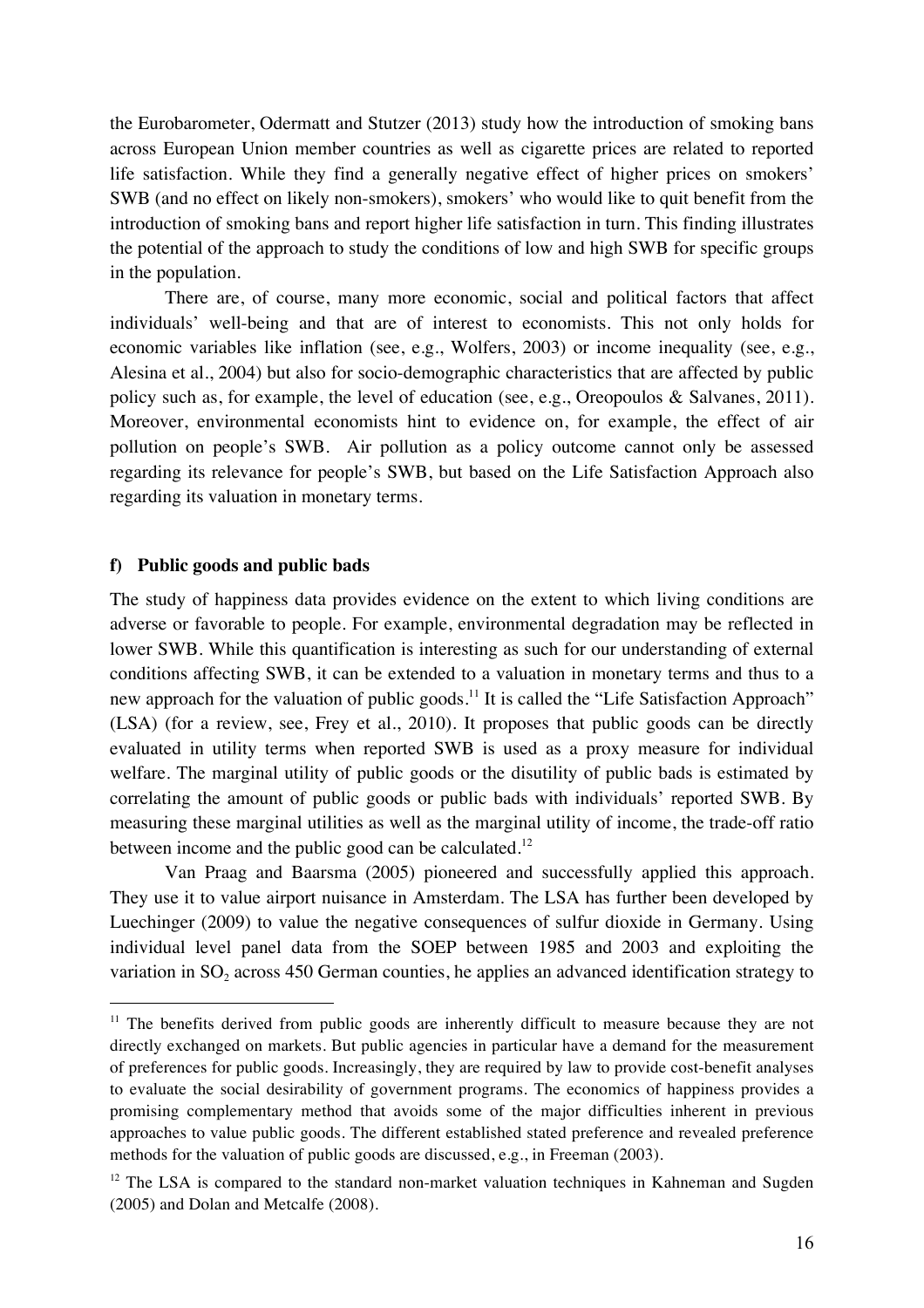the Eurobarometer, Odermatt and Stutzer (2013) study how the introduction of smoking bans across European Union member countries as well as cigarette prices are related to reported life satisfaction. While they find a generally negative effect of higher prices on smokers' SWB (and no effect on likely non-smokers), smokers' who would like to quit benefit from the introduction of smoking bans and report higher life satisfaction in turn. This finding illustrates the potential of the approach to study the conditions of low and high SWB for specific groups in the population.

There are, of course, many more economic, social and political factors that affect individuals' well-being and that are of interest to economists. This not only holds for economic variables like inflation (see, e.g., Wolfers, 2003) or income inequality (see, e.g., Alesina et al., 2004) but also for socio-demographic characteristics that are affected by public policy such as, for example, the level of education (see, e.g., Oreopoulos & Salvanes, 2011). Moreover, environmental economists hint to evidence on, for example, the effect of air pollution on people's SWB. Air pollution as a policy outcome cannot only be assessed regarding its relevance for people's SWB, but based on the Life Satisfaction Approach also regarding its valuation in monetary terms.

#### **f) Public goods and public bads**

 $\overline{a}$ 

The study of happiness data provides evidence on the extent to which living conditions are adverse or favorable to people. For example, environmental degradation may be reflected in lower SWB. While this quantification is interesting as such for our understanding of external conditions affecting SWB, it can be extended to a valuation in monetary terms and thus to a new approach for the valuation of public goods.<sup>11</sup> It is called the "Life Satisfaction Approach" (LSA) (for a review, see, Frey et al., 2010). It proposes that public goods can be directly evaluated in utility terms when reported SWB is used as a proxy measure for individual welfare. The marginal utility of public goods or the disutility of public bads is estimated by correlating the amount of public goods or public bads with individuals' reported SWB. By measuring these marginal utilities as well as the marginal utility of income, the trade-off ratio between income and the public good can be calculated.<sup>12</sup>

Van Praag and Baarsma (2005) pioneered and successfully applied this approach. They use it to value airport nuisance in Amsterdam. The LSA has further been developed by Luechinger (2009) to value the negative consequences of sulfur dioxide in Germany. Using individual level panel data from the SOEP between 1985 and 2003 and exploiting the variation in  $SO_2$  across 450 German counties, he applies an advanced identification strategy to

 $11$  The benefits derived from public goods are inherently difficult to measure because they are not directly exchanged on markets. But public agencies in particular have a demand for the measurement of preferences for public goods. Increasingly, they are required by law to provide cost-benefit analyses to evaluate the social desirability of government programs. The economics of happiness provides a promising complementary method that avoids some of the major difficulties inherent in previous approaches to value public goods. The different established stated preference and revealed preference methods for the valuation of public goods are discussed, e.g., in Freeman (2003).

 $12$  The LSA is compared to the standard non-market valuation techniques in Kahneman and Sugden (2005) and Dolan and Metcalfe (2008).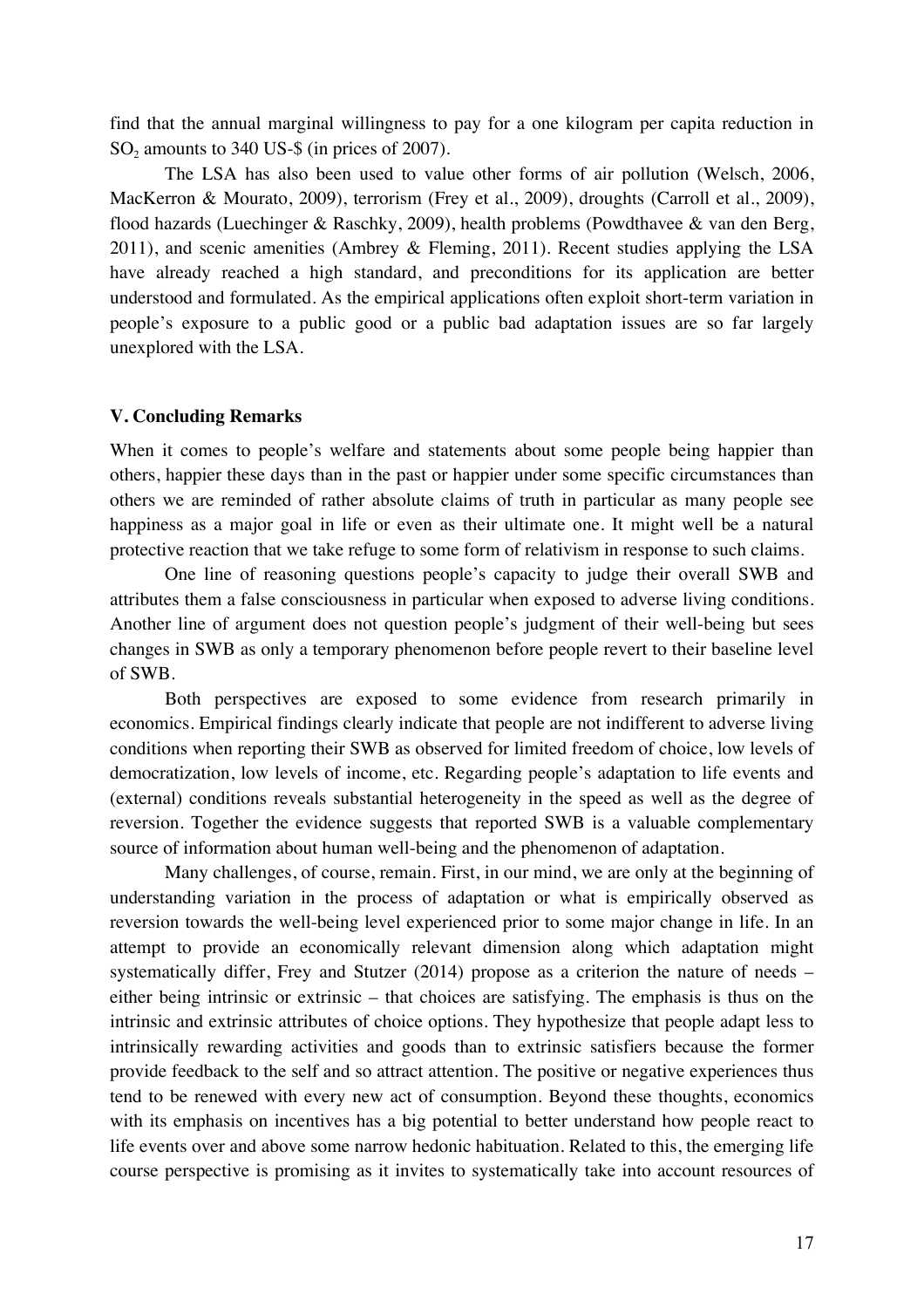find that the annual marginal willingness to pay for a one kilogram per capita reduction in SO<sub>2</sub> amounts to 340 US- $\frac{2007}{1}$ .

The LSA has also been used to value other forms of air pollution (Welsch, 2006, MacKerron & Mourato, 2009), terrorism (Frey et al., 2009), droughts (Carroll et al., 2009), flood hazards (Luechinger & Raschky, 2009), health problems (Powdthavee & van den Berg, 2011), and scenic amenities (Ambrey & Fleming, 2011). Recent studies applying the LSA have already reached a high standard, and preconditions for its application are better understood and formulated. As the empirical applications often exploit short-term variation in people's exposure to a public good or a public bad adaptation issues are so far largely unexplored with the LSA.

#### **V. Concluding Remarks**

When it comes to people's welfare and statements about some people being happier than others, happier these days than in the past or happier under some specific circumstances than others we are reminded of rather absolute claims of truth in particular as many people see happiness as a major goal in life or even as their ultimate one. It might well be a natural protective reaction that we take refuge to some form of relativism in response to such claims.

One line of reasoning questions people's capacity to judge their overall SWB and attributes them a false consciousness in particular when exposed to adverse living conditions. Another line of argument does not question people's judgment of their well-being but sees changes in SWB as only a temporary phenomenon before people revert to their baseline level of SWB.

Both perspectives are exposed to some evidence from research primarily in economics. Empirical findings clearly indicate that people are not indifferent to adverse living conditions when reporting their SWB as observed for limited freedom of choice, low levels of democratization, low levels of income, etc. Regarding people's adaptation to life events and (external) conditions reveals substantial heterogeneity in the speed as well as the degree of reversion. Together the evidence suggests that reported SWB is a valuable complementary source of information about human well-being and the phenomenon of adaptation.

Many challenges, of course, remain. First, in our mind, we are only at the beginning of understanding variation in the process of adaptation or what is empirically observed as reversion towards the well-being level experienced prior to some major change in life. In an attempt to provide an economically relevant dimension along which adaptation might systematically differ, Frey and Stutzer (2014) propose as a criterion the nature of needs – either being intrinsic or extrinsic – that choices are satisfying. The emphasis is thus on the intrinsic and extrinsic attributes of choice options. They hypothesize that people adapt less to intrinsically rewarding activities and goods than to extrinsic satisfiers because the former provide feedback to the self and so attract attention. The positive or negative experiences thus tend to be renewed with every new act of consumption. Beyond these thoughts, economics with its emphasis on incentives has a big potential to better understand how people react to life events over and above some narrow hedonic habituation. Related to this, the emerging life course perspective is promising as it invites to systematically take into account resources of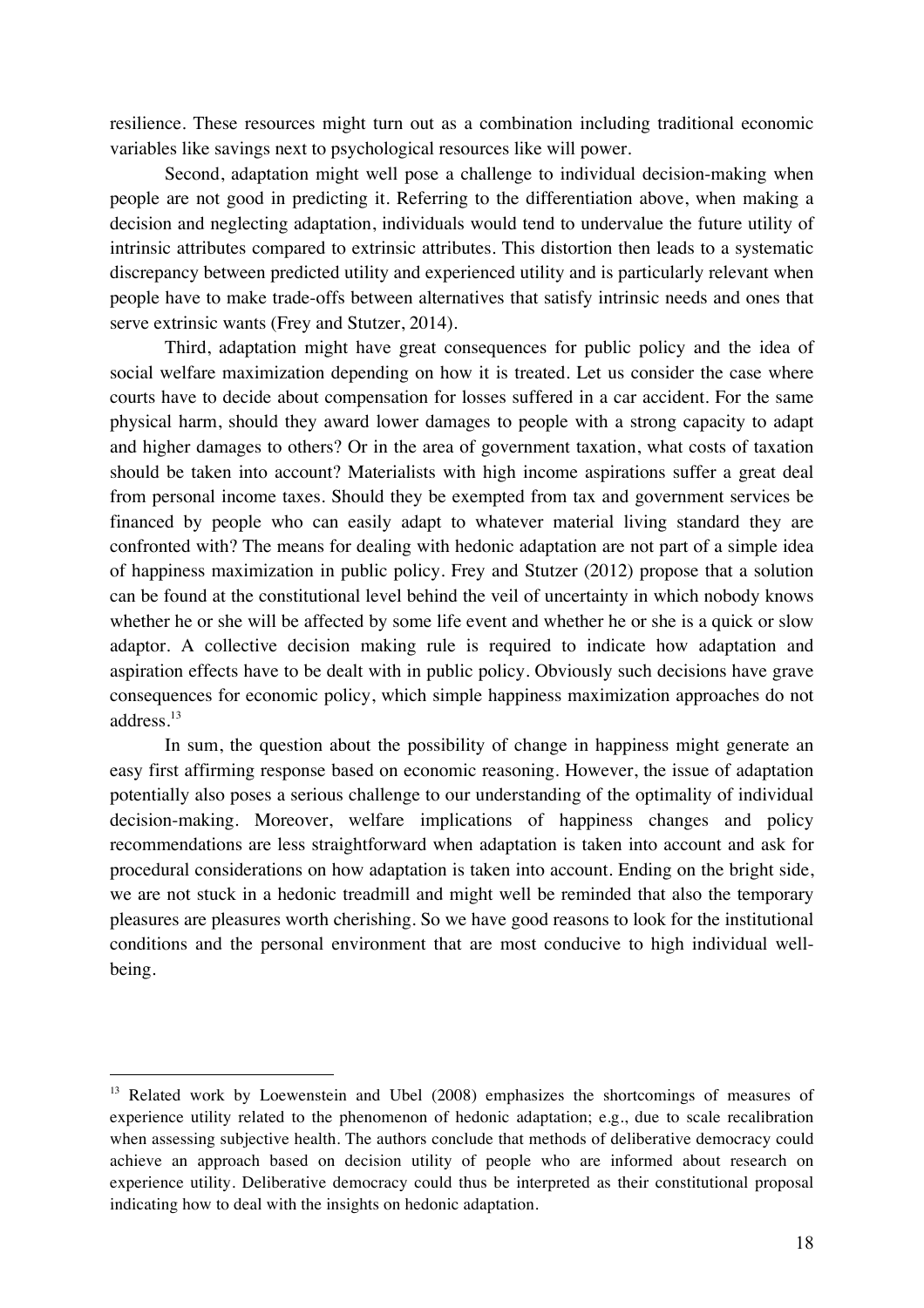resilience. These resources might turn out as a combination including traditional economic variables like savings next to psychological resources like will power.

Second, adaptation might well pose a challenge to individual decision-making when people are not good in predicting it. Referring to the differentiation above, when making a decision and neglecting adaptation, individuals would tend to undervalue the future utility of intrinsic attributes compared to extrinsic attributes. This distortion then leads to a systematic discrepancy between predicted utility and experienced utility and is particularly relevant when people have to make trade-offs between alternatives that satisfy intrinsic needs and ones that serve extrinsic wants (Frey and Stutzer, 2014).

Third, adaptation might have great consequences for public policy and the idea of social welfare maximization depending on how it is treated. Let us consider the case where courts have to decide about compensation for losses suffered in a car accident. For the same physical harm, should they award lower damages to people with a strong capacity to adapt and higher damages to others? Or in the area of government taxation, what costs of taxation should be taken into account? Materialists with high income aspirations suffer a great deal from personal income taxes. Should they be exempted from tax and government services be financed by people who can easily adapt to whatever material living standard they are confronted with? The means for dealing with hedonic adaptation are not part of a simple idea of happiness maximization in public policy. Frey and Stutzer (2012) propose that a solution can be found at the constitutional level behind the veil of uncertainty in which nobody knows whether he or she will be affected by some life event and whether he or she is a quick or slow adaptor. A collective decision making rule is required to indicate how adaptation and aspiration effects have to be dealt with in public policy. Obviously such decisions have grave consequences for economic policy, which simple happiness maximization approaches do not address.<sup>13</sup>

In sum, the question about the possibility of change in happiness might generate an easy first affirming response based on economic reasoning. However, the issue of adaptation potentially also poses a serious challenge to our understanding of the optimality of individual decision-making. Moreover, welfare implications of happiness changes and policy recommendations are less straightforward when adaptation is taken into account and ask for procedural considerations on how adaptation is taken into account. Ending on the bright side, we are not stuck in a hedonic treadmill and might well be reminded that also the temporary pleasures are pleasures worth cherishing. So we have good reasons to look for the institutional conditions and the personal environment that are most conducive to high individual wellbeing.

 $\overline{a}$ 

<sup>&</sup>lt;sup>13</sup> Related work by Loewenstein and Ubel (2008) emphasizes the shortcomings of measures of experience utility related to the phenomenon of hedonic adaptation; e.g., due to scale recalibration when assessing subjective health. The authors conclude that methods of deliberative democracy could achieve an approach based on decision utility of people who are informed about research on experience utility. Deliberative democracy could thus be interpreted as their constitutional proposal indicating how to deal with the insights on hedonic adaptation.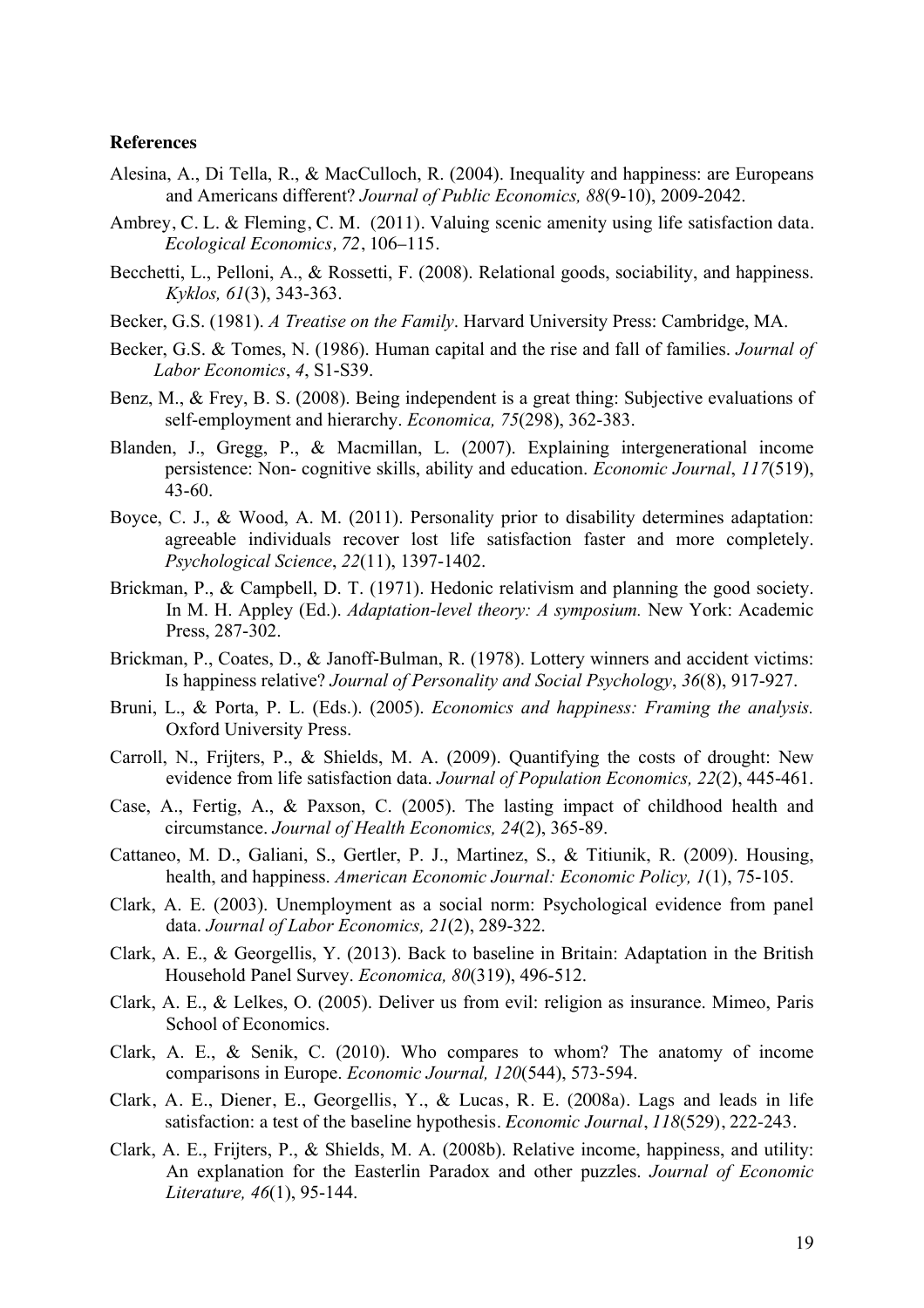#### **References**

- Alesina, A., Di Tella, R., & MacCulloch, R. (2004). Inequality and happiness: are Europeans and Americans different? *Journal of Public Economics, 88*(9-10), 2009-2042.
- Ambrey, C. L. & Fleming, C. M. (2011). Valuing scenic amenity using life satisfaction data. *Ecological Economics, 72*, 106–115.
- Becchetti, L., Pelloni, A., & Rossetti, F. (2008). Relational goods, sociability, and happiness. *Kyklos, 61*(3), 343-363.
- Becker, G.S. (1981). *A Treatise on the Family*. Harvard University Press: Cambridge, MA.
- Becker, G.S. & Tomes, N. (1986). Human capital and the rise and fall of families. *Journal of Labor Economics*, *4*, S1-S39.
- Benz, M., & Frey, B. S. (2008). Being independent is a great thing: Subjective evaluations of self-employment and hierarchy. *Economica, 75*(298), 362-383.
- Blanden, J., Gregg, P., & Macmillan, L. (2007). Explaining intergenerational income persistence: Non- cognitive skills, ability and education. *Economic Journal*, *117*(519), 43-60.
- Boyce, C. J., & Wood, A. M. (2011). Personality prior to disability determines adaptation: agreeable individuals recover lost life satisfaction faster and more completely. *Psychological Science*, *22*(11), 1397-1402.
- Brickman, P., & Campbell, D. T. (1971). Hedonic relativism and planning the good society. In M. H. Appley (Ed.). *Adaptation-level theory: A symposium.* New York: Academic Press, 287-302.
- Brickman, P., Coates, D., & Janoff-Bulman, R. (1978). Lottery winners and accident victims: Is happiness relative? *Journal of Personality and Social Psychology*, *36*(8), 917-927.
- Bruni, L., & Porta, P. L. (Eds.). (2005). *Economics and happiness: Framing the analysis.* Oxford University Press.
- Carroll, N., Frijters, P., & Shields, M. A. (2009). Quantifying the costs of drought: New evidence from life satisfaction data. *Journal of Population Economics, 22*(2), 445-461.
- Case, A., Fertig, A., & Paxson, C. (2005). The lasting impact of childhood health and circumstance. *Journal of Health Economics, 24*(2), 365-89.
- Cattaneo, M. D., Galiani, S., Gertler, P. J., Martinez, S., & Titiunik, R. (2009). Housing, health, and happiness. *American Economic Journal: Economic Policy, 1*(1), 75-105.
- Clark, A. E. (2003). Unemployment as a social norm: Psychological evidence from panel data. *Journal of Labor Economics, 21*(2), 289-322.
- Clark, A. E., & Georgellis, Y. (2013). Back to baseline in Britain: Adaptation in the British Household Panel Survey. *Economica, 80*(319), 496-512.
- Clark, A. E., & Lelkes, O. (2005). Deliver us from evil: religion as insurance. Mimeo, Paris School of Economics.
- Clark, A. E., & Senik, C. (2010). Who compares to whom? The anatomy of income comparisons in Europe. *Economic Journal, 120*(544), 573-594.
- Clark, A. E., Diener, E., Georgellis, Y., & Lucas, R. E. (2008a). Lags and leads in life satisfaction: a test of the baseline hypothesis. *Economic Journal*, *118*(529), 222-243.
- Clark, A. E., Frijters, P., & Shields, M. A. (2008b). Relative income, happiness, and utility: An explanation for the Easterlin Paradox and other puzzles. *Journal of Economic Literature, 46*(1), 95-144.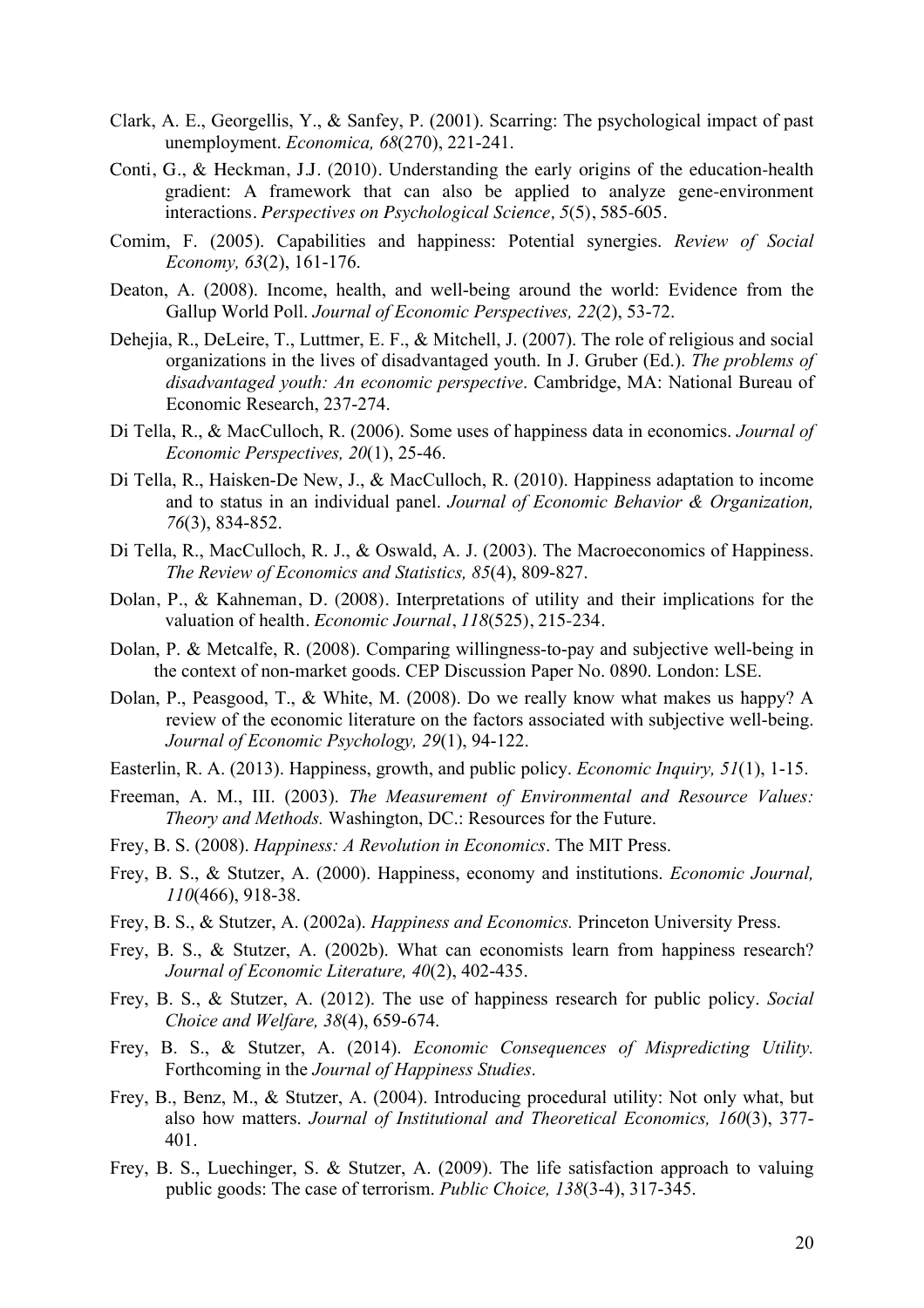- Clark, A. E., Georgellis, Y., & Sanfey, P. (2001). Scarring: The psychological impact of past unemployment. *Economica, 68*(270), 221-241.
- Conti, G., & Heckman, J.J. (2010). Understanding the early origins of the education-health gradient: A framework that can also be applied to analyze gene-environment interactions. *Perspectives on Psychological Science, 5*(5), 585-605.
- Comim, F. (2005). Capabilities and happiness: Potential synergies. *Review of Social Economy, 63*(2), 161-176.
- Deaton, A. (2008). Income, health, and well-being around the world: Evidence from the Gallup World Poll. *Journal of Economic Perspectives, 22*(2), 53-72.
- Dehejia, R., DeLeire, T., Luttmer, E. F., & Mitchell, J. (2007). The role of religious and social organizations in the lives of disadvantaged youth. In J. Gruber (Ed.). *The problems of disadvantaged youth: An economic perspective*. Cambridge, MA: National Bureau of Economic Research, 237-274.
- Di Tella, R., & MacCulloch, R. (2006). Some uses of happiness data in economics. *Journal of Economic Perspectives, 20*(1), 25-46.
- Di Tella, R., Haisken-De New, J., & MacCulloch, R. (2010). Happiness adaptation to income and to status in an individual panel. *Journal of Economic Behavior & Organization, 76*(3), 834-852.
- Di Tella, R., MacCulloch, R. J., & Oswald, A. J. (2003). The Macroeconomics of Happiness. *The Review of Economics and Statistics, 85*(4), 809-827.
- Dolan, P., & Kahneman, D. (2008). Interpretations of utility and their implications for the valuation of health. *Economic Journal*, *118*(525), 215-234.
- Dolan, P. & Metcalfe, R. (2008). Comparing willingness-to-pay and subjective well-being in the context of non-market goods. CEP Discussion Paper No. 0890. London: LSE.
- Dolan, P., Peasgood, T., & White, M. (2008). Do we really know what makes us happy? A review of the economic literature on the factors associated with subjective well-being. *Journal of Economic Psychology, 29*(1), 94-122.
- Easterlin, R. A. (2013). Happiness, growth, and public policy. *Economic Inquiry, 51*(1), 1-15.
- Freeman, A. M., III. (2003). *The Measurement of Environmental and Resource Values: Theory and Methods.* Washington, DC.: Resources for the Future.
- Frey, B. S. (2008). *Happiness: A Revolution in Economics*. The MIT Press.
- Frey, B. S., & Stutzer, A. (2000). Happiness, economy and institutions. *Economic Journal, 110*(466), 918-38.
- Frey, B. S., & Stutzer, A. (2002a). *Happiness and Economics.* Princeton University Press.
- Frey, B. S., & Stutzer, A. (2002b). What can economists learn from happiness research? *Journal of Economic Literature, 40*(2), 402-435.
- Frey, B. S., & Stutzer, A. (2012). The use of happiness research for public policy. *Social Choice and Welfare, 38*(4), 659-674.
- Frey, B. S., & Stutzer, A. (2014). *Economic Consequences of Mispredicting Utility.* Forthcoming in the *Journal of Happiness Studies*.
- Frey, B., Benz, M., & Stutzer, A. (2004). Introducing procedural utility: Not only what, but also how matters. *Journal of Institutional and Theoretical Economics, 160*(3), 377- 401.
- Frey, B. S., Luechinger, S. & Stutzer, A. (2009). The life satisfaction approach to valuing public goods: The case of terrorism. *Public Choice, 138*(3-4), 317-345.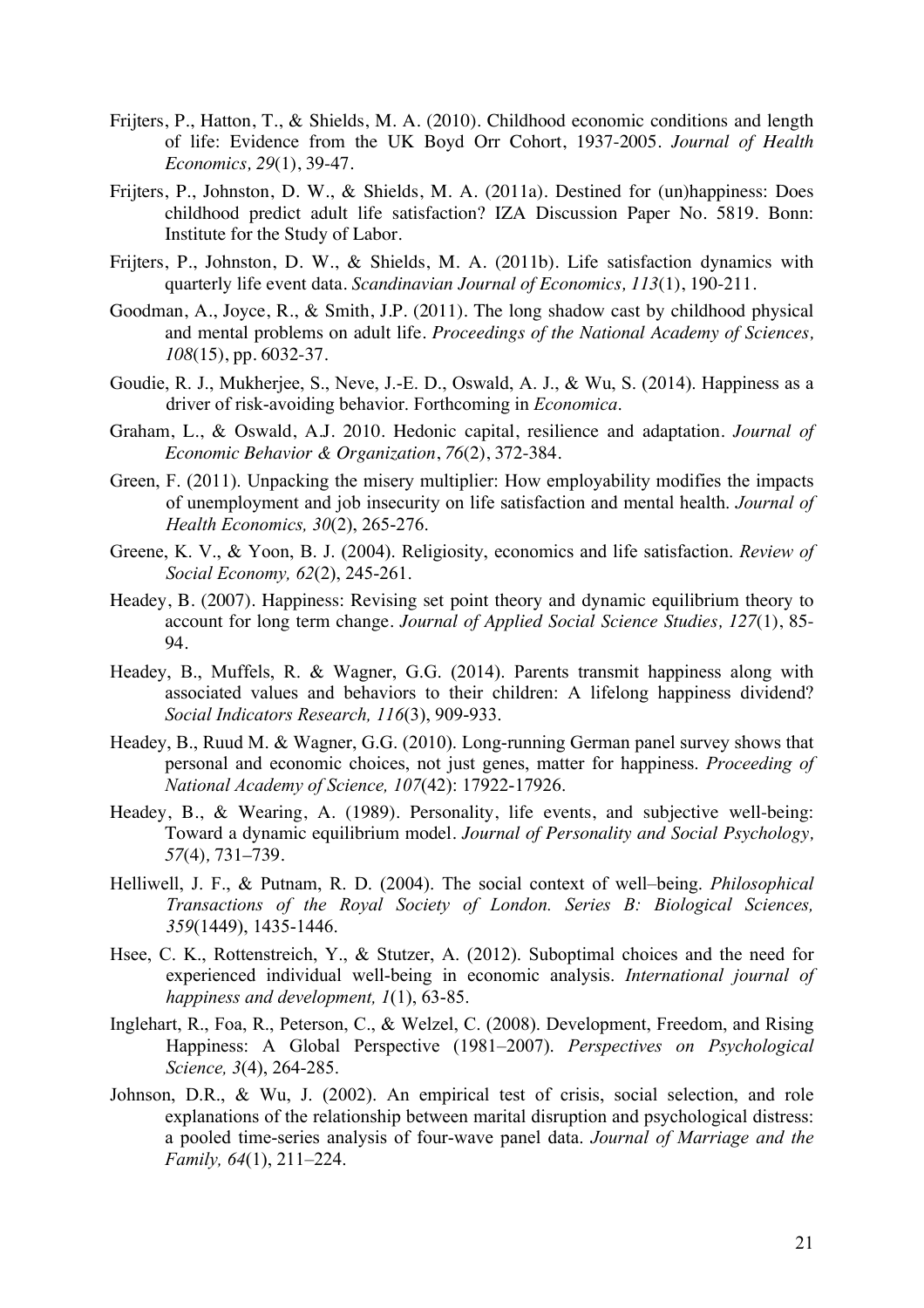- Frijters, P., Hatton, T., & Shields, M. A. (2010). Childhood economic conditions and length of life: Evidence from the UK Boyd Orr Cohort, 1937-2005. *Journal of Health Economics, 29*(1), 39-47.
- Frijters, P., Johnston, D. W., & Shields, M. A. (2011a). Destined for (un)happiness: Does childhood predict adult life satisfaction? IZA Discussion Paper No. 5819. Bonn: Institute for the Study of Labor.
- Frijters, P., Johnston, D. W., & Shields, M. A. (2011b). Life satisfaction dynamics with quarterly life event data. *Scandinavian Journal of Economics, 113*(1), 190-211.
- Goodman, A., Joyce, R., & Smith, J.P. (2011). The long shadow cast by childhood physical and mental problems on adult life. *Proceedings of the National Academy of Sciences, 108*(15), pp. 6032-37.
- Goudie, R. J., Mukherjee, S., Neve, J.-E. D., Oswald, A. J., & Wu, S. (2014). Happiness as a driver of risk-avoiding behavior. Forthcoming in *Economica*.
- Graham, L., & Oswald, A.J. 2010. Hedonic capital, resilience and adaptation. *Journal of Economic Behavior & Organization*, *76*(2), 372-384.
- Green, F. (2011). Unpacking the misery multiplier: How employability modifies the impacts of unemployment and job insecurity on life satisfaction and mental health. *Journal of Health Economics, 30*(2), 265-276.
- Greene, K. V., & Yoon, B. J. (2004). Religiosity, economics and life satisfaction. *Review of Social Economy, 62*(2), 245-261.
- Headey, B. (2007). Happiness: Revising set point theory and dynamic equilibrium theory to account for long term change. *Journal of Applied Social Science Studies, 127*(1), 85- 94.
- Headey, B., Muffels, R. & Wagner, G.G. (2014). Parents transmit happiness along with associated values and behaviors to their children: A lifelong happiness dividend? *Social Indicators Research, 116*(3), 909-933.
- Headey, B., Ruud M. & Wagner, G.G. (2010). Long-running German panel survey shows that personal and economic choices, not just genes, matter for happiness. *Proceeding of National Academy of Science, 107*(42): 17922-17926.
- Headey, B., & Wearing, A. (1989). Personality, life events, and subjective well-being: Toward a dynamic equilibrium model. *Journal of Personality and Social Psychology, 57*(4)*,* 731–739.
- Helliwell, J. F., & Putnam, R. D. (2004). The social context of well–being. *Philosophical Transactions of the Royal Society of London. Series B: Biological Sciences, 359*(1449), 1435-1446.
- Hsee, C. K., Rottenstreich, Y., & Stutzer, A. (2012). Suboptimal choices and the need for experienced individual well-being in economic analysis. *International journal of happiness and development, 1*(1), 63-85.
- Inglehart, R., Foa, R., Peterson, C., & Welzel, C. (2008). Development, Freedom, and Rising Happiness: A Global Perspective (1981–2007). *Perspectives on Psychological Science, 3*(4), 264-285.
- Johnson, D.R., & Wu, J. (2002). An empirical test of crisis, social selection, and role explanations of the relationship between marital disruption and psychological distress: a pooled time-series analysis of four-wave panel data. *Journal of Marriage and the Family, 64*(1), 211–224.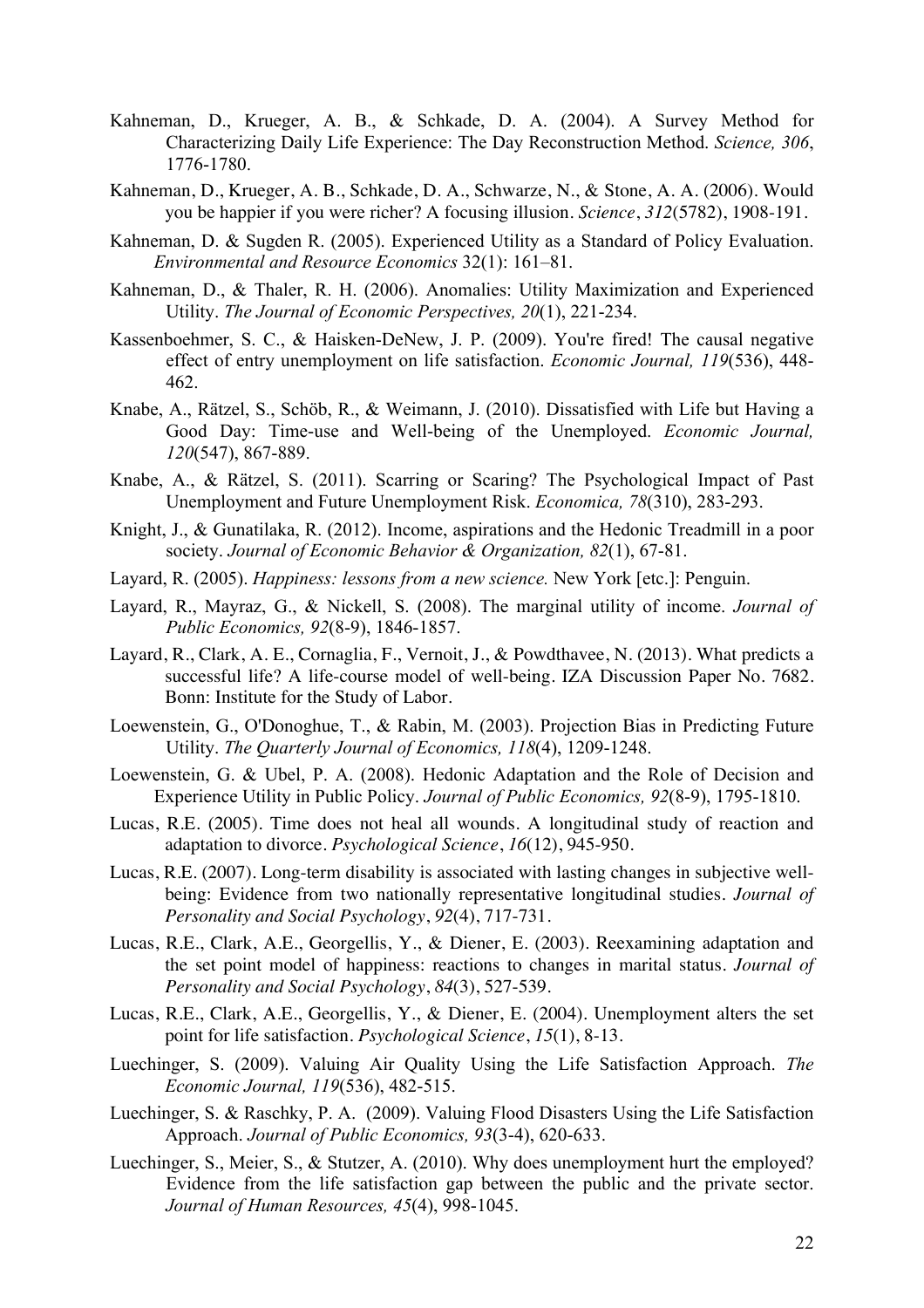- Kahneman, D., Krueger, A. B., & Schkade, D. A. (2004). A Survey Method for Characterizing Daily Life Experience: The Day Reconstruction Method. *Science, 306*, 1776-1780.
- Kahneman, D., Krueger, A. B., Schkade, D. A., Schwarze, N., & Stone, A. A. (2006). Would you be happier if you were richer? A focusing illusion. *Science*, *312*(5782), 1908-191.
- Kahneman, D. & Sugden R. (2005). Experienced Utility as a Standard of Policy Evaluation. *Environmental and Resource Economics* 32(1): 161–81.
- Kahneman, D., & Thaler, R. H. (2006). Anomalies: Utility Maximization and Experienced Utility. *The Journal of Economic Perspectives, 20*(1), 221-234.
- Kassenboehmer, S. C., & Haisken-DeNew, J. P. (2009). You're fired! The causal negative effect of entry unemployment on life satisfaction. *Economic Journal, 119*(536), 448- 462.
- Knabe, A., Rätzel, S., Schöb, R., & Weimann, J. (2010). Dissatisfied with Life but Having a Good Day: Time-use and Well-being of the Unemployed. *Economic Journal, 120*(547), 867-889.
- Knabe, A., & Rätzel, S. (2011). Scarring or Scaring? The Psychological Impact of Past Unemployment and Future Unemployment Risk. *Economica, 78*(310), 283-293.
- Knight, J., & Gunatilaka, R. (2012). Income, aspirations and the Hedonic Treadmill in a poor society. *Journal of Economic Behavior & Organization, 82*(1), 67-81.
- Layard, R. (2005). *Happiness: lessons from a new science.* New York [etc.]: Penguin.
- Layard, R., Mayraz, G., & Nickell, S. (2008). The marginal utility of income. *Journal of Public Economics, 92*(8-9), 1846-1857.
- Layard, R., Clark, A. E., Cornaglia, F., Vernoit, J., & Powdthavee, N. (2013). What predicts a successful life? A life-course model of well-being. IZA Discussion Paper No. 7682. Bonn: Institute for the Study of Labor.
- Loewenstein, G., O'Donoghue, T., & Rabin, M. (2003). Projection Bias in Predicting Future Utility. *The Quarterly Journal of Economics, 118*(4), 1209-1248.
- Loewenstein, G. & Ubel, P. A. (2008). Hedonic Adaptation and the Role of Decision and Experience Utility in Public Policy. *Journal of Public Economics, 92*(8-9), 1795-1810.
- Lucas, R.E. (2005). Time does not heal all wounds. A longitudinal study of reaction and adaptation to divorce. *Psychological Science*, *16*(12), 945-950.
- Lucas, R.E. (2007). Long-term disability is associated with lasting changes in subjective wellbeing: Evidence from two nationally representative longitudinal studies. *Journal of Personality and Social Psychology*, *92*(4), 717-731.
- Lucas, R.E., Clark, A.E., Georgellis, Y., & Diener, E. (2003). Reexamining adaptation and the set point model of happiness: reactions to changes in marital status. *Journal of Personality and Social Psychology*, *84*(3), 527-539.
- Lucas, R.E., Clark, A.E., Georgellis, Y., & Diener, E. (2004). Unemployment alters the set point for life satisfaction. *Psychological Science*, *15*(1), 8-13.
- Luechinger, S. (2009). Valuing Air Quality Using the Life Satisfaction Approach. *The Economic Journal, 119*(536), 482-515.
- Luechinger, S. & Raschky, P. A. (2009). Valuing Flood Disasters Using the Life Satisfaction Approach. *Journal of Public Economics, 93*(3-4), 620-633.
- Luechinger, S., Meier, S., & Stutzer, A. (2010). Why does unemployment hurt the employed? Evidence from the life satisfaction gap between the public and the private sector. *Journal of Human Resources, 45*(4), 998-1045.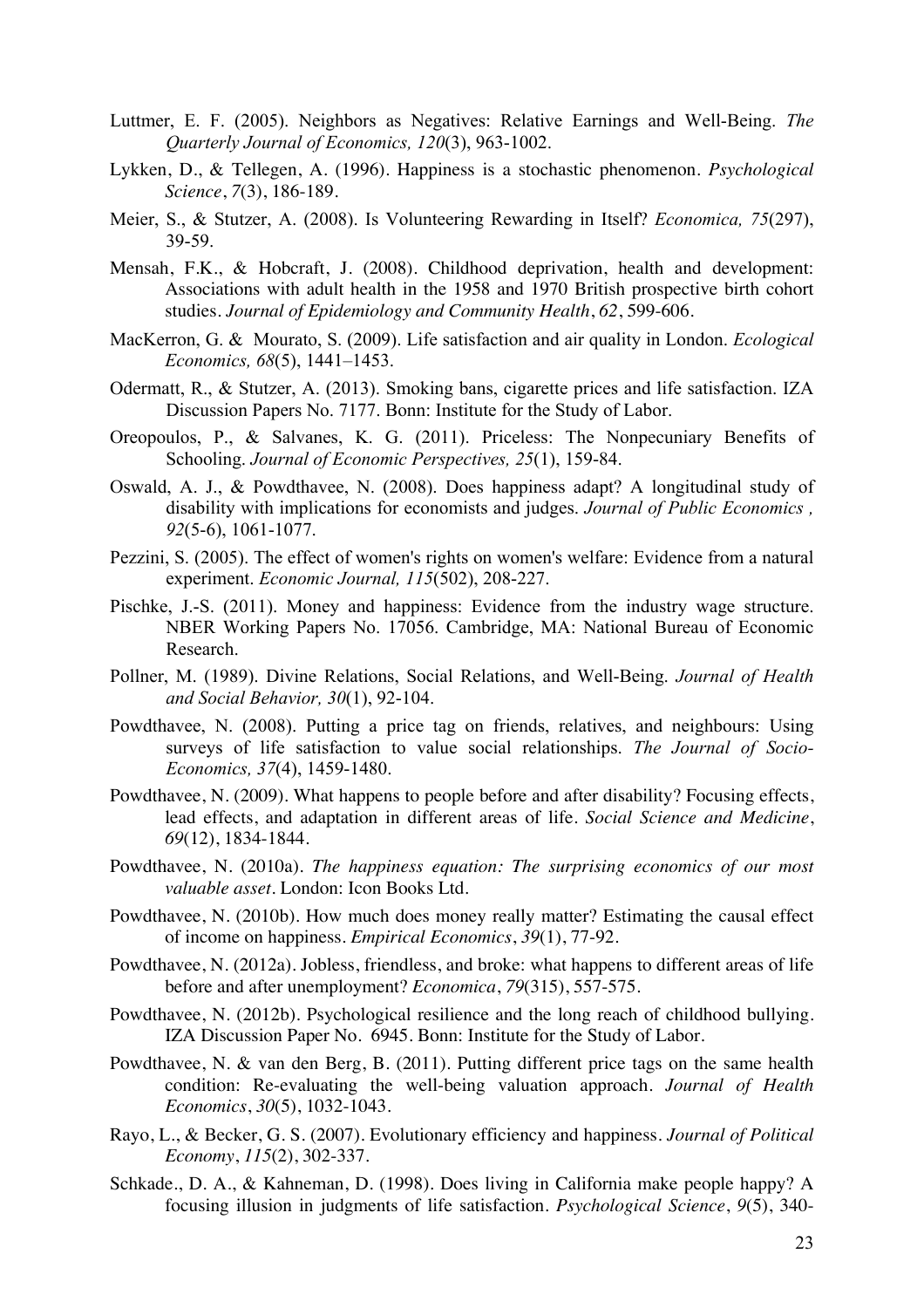- Luttmer, E. F. (2005). Neighbors as Negatives: Relative Earnings and Well-Being. *The Quarterly Journal of Economics, 120*(3), 963-1002.
- Lykken, D., & Tellegen, A. (1996). Happiness is a stochastic phenomenon. *Psychological Science*, *7*(3), 186-189.
- Meier, S., & Stutzer, A. (2008). Is Volunteering Rewarding in Itself? *Economica, 75*(297), 39-59.
- Mensah, F.K., & Hobcraft, J. (2008). Childhood deprivation, health and development: Associations with adult health in the 1958 and 1970 British prospective birth cohort studies. *Journal of Epidemiology and Community Health*, *62*, 599-606.
- MacKerron, G. & Mourato, S. (2009). Life satisfaction and air quality in London. *Ecological Economics, 68*(5), 1441–1453.
- Odermatt, R., & Stutzer, A. (2013). Smoking bans, cigarette prices and life satisfaction. IZA Discussion Papers No. 7177. Bonn: Institute for the Study of Labor.
- Oreopoulos, P., & Salvanes, K. G. (2011). Priceless: The Nonpecuniary Benefits of Schooling. *Journal of Economic Perspectives, 25*(1), 159-84.
- Oswald, A. J., & Powdthavee, N. (2008). Does happiness adapt? A longitudinal study of disability with implications for economists and judges. *Journal of Public Economics , 92*(5-6), 1061-1077.
- Pezzini, S. (2005). The effect of women's rights on women's welfare: Evidence from a natural experiment. *Economic Journal, 115*(502), 208-227.
- Pischke, J.-S. (2011). Money and happiness: Evidence from the industry wage structure. NBER Working Papers No. 17056. Cambridge, MA: National Bureau of Economic Research.
- Pollner, M. (1989). Divine Relations, Social Relations, and Well-Being. *Journal of Health and Social Behavior, 30*(1), 92-104.
- Powdthavee, N. (2008). Putting a price tag on friends, relatives, and neighbours: Using surveys of life satisfaction to value social relationships. *The Journal of Socio-Economics, 37*(4), 1459-1480.
- Powdthavee, N. (2009). What happens to people before and after disability? Focusing effects, lead effects, and adaptation in different areas of life. *Social Science and Medicine*, *69*(12), 1834-1844.
- Powdthavee, N. (2010a). *The happiness equation: The surprising economics of our most valuable asset*. London: Icon Books Ltd.
- Powdthavee, N. (2010b). How much does money really matter? Estimating the causal effect of income on happiness. *Empirical Economics*, *39*(1), 77-92.
- Powdthavee, N. (2012a). Jobless, friendless, and broke: what happens to different areas of life before and after unemployment? *Economica*, *79*(315), 557-575.
- Powdthavee, N. (2012b). Psychological resilience and the long reach of childhood bullying. IZA Discussion Paper No. 6945. Bonn: Institute for the Study of Labor.
- Powdthavee, N. & van den Berg, B. (2011). Putting different price tags on the same health condition: Re-evaluating the well-being valuation approach. *Journal of Health Economics*, *30*(5), 1032-1043.
- Rayo, L., & Becker, G. S. (2007). Evolutionary efficiency and happiness. *Journal of Political Economy*, *115*(2), 302-337.
- Schkade., D. A., & Kahneman, D. (1998). Does living in California make people happy? A focusing illusion in judgments of life satisfaction. *Psychological Science*, *9*(5), 340-